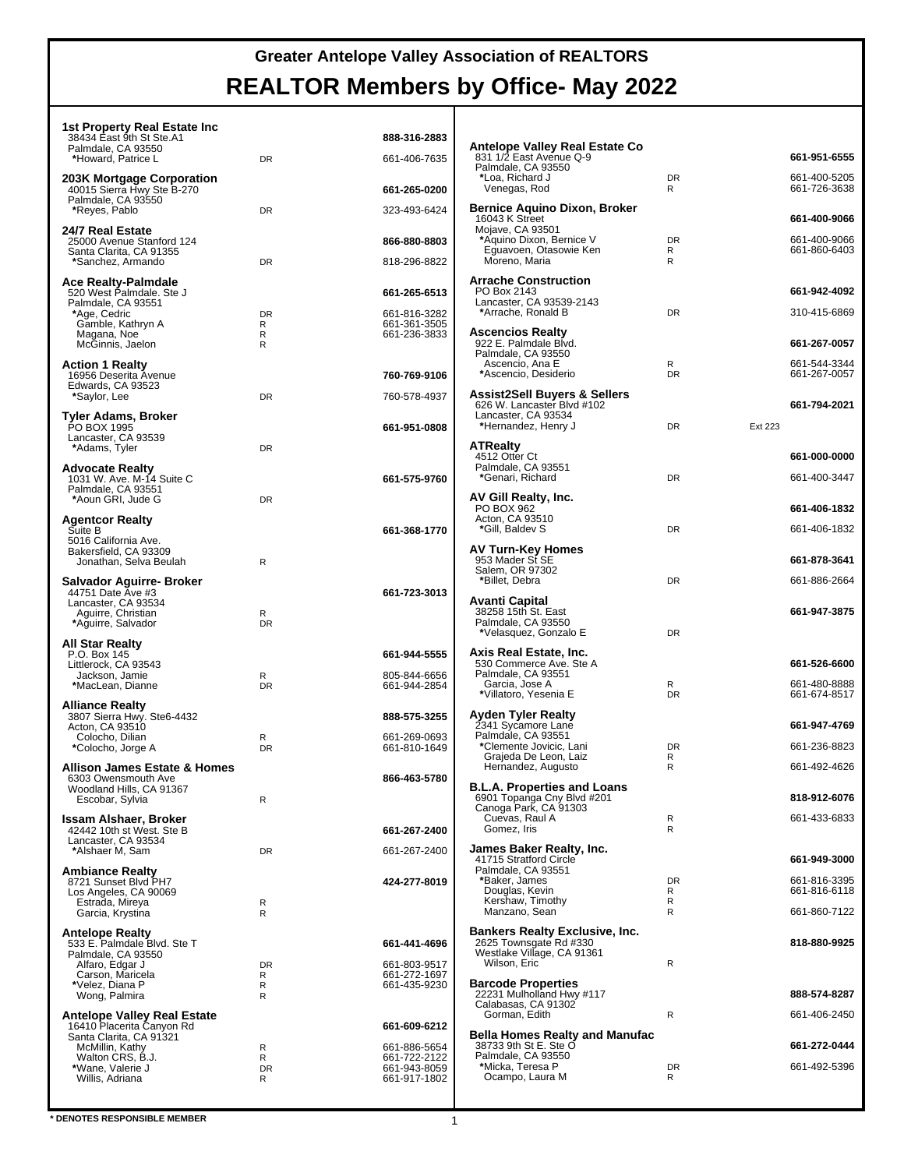# **Greater Antelope Valley Association of REALTORS**

#### **REALTOR Members by Office- May 2022**

| 1st Property Real Estate Inc                                                  |                |                              |                                                                                           |                   |                              |
|-------------------------------------------------------------------------------|----------------|------------------------------|-------------------------------------------------------------------------------------------|-------------------|------------------------------|
| 38434 East 9th St Ste.A1<br>Palmdale, CA 93550                                |                | 888-316-2883                 | Antelope Valley Real Estate Co                                                            |                   | 661-951-6555                 |
| *Howard, Patrice L<br>203K Mortgage Corporation<br>40015 Sierra Hwy Ste B-270 | DR             | 661-406-7635                 | 831 1/2 East Avenue Q-9<br>Palmdale, CA 93550<br>*Loa, Richard J                          | DR                | 661-400-5205                 |
| Palmdale, CA 93550                                                            |                | 661-265-0200                 | Venegas, Rod                                                                              | R                 | 661-726-3638                 |
| *Reyes, Pablo                                                                 | DR             | 323-493-6424                 | <b>Bernice Aquino Dixon, Broker</b><br>16043 K Street<br>Mojave, CA 93501                 |                   | 661-400-9066                 |
| 24/7 Real Estate<br>25000 Avenue Stanford 124<br>Santa Clarita, CA 91355      |                | 866-880-8803                 | *Aquino Dixon, Bernice V<br>Eguavoen, Otasowie Ken                                        | DR<br>R           | 661-400-9066<br>661-860-6403 |
| *Sanchez, Armando                                                             | DR             | 818-296-8822                 | Moreno, Maria                                                                             | R                 |                              |
| Ace Realty-Palmdale<br>520 West Palmdale. Ste J<br>Palmdale, CA 93551         |                | 661-265-6513                 | <b>Arrache Construction</b><br>PO Box 2143<br>Lancaster, CA 93539-2143                    |                   | 661-942-4092                 |
| *Age, Cedric<br>Gamble, Kathryn A                                             | <b>DR</b><br>R | 661-816-3282<br>661-361-3505 | *Arrache, Ronald B                                                                        | <b>DR</b>         | 310-415-6869                 |
| Magana, Noe<br>McGinnis, Jaelon                                               | R<br>R         | 661-236-3833                 | <b>Ascencios Realty</b><br>922 E. Palmdale Blvd.<br>Palmdale, CA 93550                    |                   | 661-267-0057                 |
| <b>Action 1 Realty</b><br>16956 Deserita Avenue                               |                | 760-769-9106                 | Ascencio, Ana E<br>*Ascencio, Desiderio                                                   | R<br><b>DR</b>    | 661-544-3344<br>661-267-0057 |
| Edwards, CA 93523<br>*Saylor, Lee                                             | DR             | 760-578-4937                 | <b>Assist2Sell Buyers &amp; Sellers</b>                                                   |                   |                              |
| Tyler Adams, Broker                                                           |                |                              | 626 W. Lancaster Blvd #102<br>Lancaster, CA 93534                                         |                   | 661-794-2021                 |
| PO BOX 1995<br>Lancaster, CA 93539                                            |                | 661-951-0808                 | *Hernandez, Henry J                                                                       | DR<br>Ext 223     |                              |
| *Adams, Tyler                                                                 | DR             |                              | <b>ATRealty</b><br>4512 Otter Ct<br>Palmdale, CA 93551                                    |                   | 661-000-0000                 |
| <b>Advocate Realty</b><br>1031 W. Ave. M-14 Suite C<br>Palmdale, CA 93551     |                | 661-575-9760                 | *Genari, Richard                                                                          | <b>DR</b>         | 661-400-3447                 |
| *Aoun GRI, Jude G                                                             | <b>DR</b>      |                              | AV Gill Realty, Inc.<br>PO BOX 962                                                        |                   | 661-406-1832                 |
| <b>Agentcor Realty</b><br>Suite B                                             |                | 661-368-1770                 | Acton, CA 93510<br>*Gill, Baldev S                                                        | DR                | 661-406-1832                 |
| 5016 California Ave.<br>Bakersfield, CA 93309                                 |                |                              | AV Turn-Key Homes                                                                         |                   |                              |
| Jonathan, Selva Beulah                                                        | $\mathsf{R}$   |                              | 953 Mader St SE<br>Salem, OR 97302<br>*Billet, Debra                                      | DR                | 661-878-3641<br>661-886-2664 |
| Salvador Aguirre- Broker<br>44751 Date Ave #3<br>Lancaster, CA 93534          |                | 661-723-3013                 | Avanti Capital                                                                            |                   |                              |
| Aguirre, Christian<br>*Aguirre, Salvador                                      | R<br><b>DR</b> |                              | 38258 15th St. East<br>Palmdale, CA 93550                                                 |                   | 661-947-3875                 |
| All Star Realty                                                               |                |                              | *Velasquez, Gonzalo E                                                                     | <b>DR</b>         |                              |
| P.O. Box 145<br>Littlerock, CA 93543                                          |                | 661-944-5555                 | Axis Real Estate, Inc.<br>530 Commerce Ave. Ste A                                         |                   | 661-526-6600                 |
| Jackson, Jamie<br>*MacLean, Dianne                                            | R<br><b>DR</b> | 805-844-6656<br>661-944-2854 | Palmdale, CA 93551<br>Garcia, Jose A                                                      | R<br><b>DR</b>    | 661-480-8888<br>661-674-8517 |
| <b>Alliance Realty</b><br>3807 Sierra Hwy. Ste6-4432                          |                | 888-575-3255                 | *Villatoro, Yesenia E<br><b>Ayden Tyler Realty</b>                                        |                   |                              |
| Acton, CA 93510<br>Colocho, Dilian                                            | R              | 661-269-0693                 | 2341 Sycamore Lane<br>Palmdale, CA 93551                                                  |                   | 661-947-4769                 |
| *Colocho, Jorge A                                                             | <b>DR</b>      | 661-810-1649                 | *Clemente Jovicic, Lani<br>Grajeda De Leon, Laiz                                          | <b>DR</b><br>R    | 661-236-8823                 |
| <b>Allison James Estate &amp; Homes</b><br>6303 Owensmouth Ave                |                | 866-463-5780                 | Hernandez, Augusto                                                                        | R                 | 661-492-4626                 |
| Woodland Hills, CA 91367<br>Escobar, Sylvia                                   | R              |                              | <b>B.L.A. Properties and Loans</b><br>6901 Topanga Cny Blvd #201<br>Canoga Park, CA 91303 |                   | 818-912-6076                 |
| <b>Issam Alshaer, Broker</b><br>42442 10th st West. Ste B                     |                | 661-267-2400                 | Cuevas, Raul A<br>Gomez, Iris                                                             | R<br>$\mathsf{R}$ | 661-433-6833                 |
| Lancaster, CA 93534<br>*Alshaer M, Sam                                        | DR             | 661-267-2400                 | James Baker Realty, Inc.                                                                  |                   |                              |
| <b>Ambiance Realty</b>                                                        |                |                              | 41715 Stratford Circle<br>Palmdale, CA 93551                                              |                   | 661-949-3000                 |
| 8721 Sunset Blvd PH7<br>Los Angeles, CA 90069                                 |                | 424-277-8019                 | *Baker, James<br>Douglas, Kevin                                                           | <b>DR</b><br>R    | 661-816-3395<br>661-816-6118 |
| Estrada, Mireya<br>Garcia, Krystina                                           | R<br>R         |                              | Kershaw, Timothy<br>Manzano, Sean                                                         | R<br>R            | 661-860-7122                 |
| <b>Antelope Realty</b><br>533 E. Palmdale Blvd. Ste T                         |                | 661-441-4696                 | <b>Bankers Realty Exclusive, Inc.</b><br>2625 Townsgate Rd #330                           |                   | 818-880-9925                 |
| Palmdale, CA 93550<br>Alfaro, Edgar J                                         | <b>DR</b>      | 661-803-9517                 | Westlake Village, CA 91361<br>Wilson, Eric                                                | R                 |                              |
| Carson, Maricela<br>*Velez, Diana P                                           | R<br>R         | 661-272-1697<br>661-435-9230 | <b>Barcode Properties</b>                                                                 |                   |                              |
| Wong, Palmira                                                                 | R              |                              | 22231 Mulholland Hwy #117<br>Calabasas, CA 91302                                          |                   | 888-574-8287                 |
| <b>Antelope Valley Real Estate</b><br>16410 Placerita Canyon Rd               |                | 661-609-6212                 | Gorman, Edith                                                                             | $\mathsf{R}$      | 661-406-2450                 |
| Santa Clarita, CA 91321<br>McMillin, Kathy<br>Walton CRS, B.J.                | R<br>R         | 661-886-5654<br>661-722-2122 | <b>Bella Homes Realty and Manufac</b><br>38733 9th St E. Ste O<br>Palmdale, CA 93550      |                   | 661-272-0444                 |
| *Wane, Valerie J<br>Willis, Adriana                                           | <b>DR</b><br>R | 661-943-8059<br>661-917-1802 | *Micka, Teresa P<br>Ocampo, Laura M                                                       | DR<br>R           | 661-492-5396                 |
|                                                                               |                |                              |                                                                                           |                   |                              |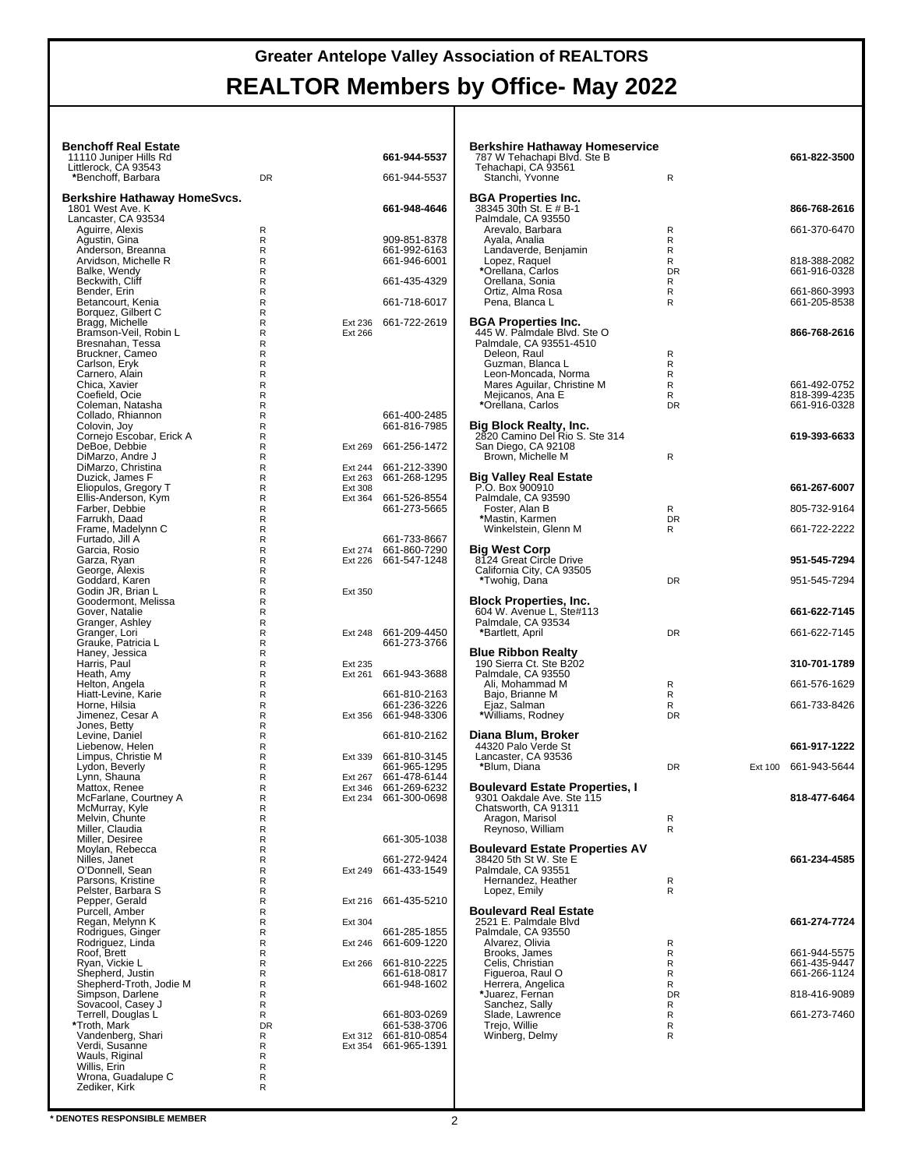#### **Benchoff Real Estate** 11110 Juniper Hills Rd **661-944-5537** Littlerock, CA 93543 **\***Benchoff, Barbara DR 661-944-5537 **Berkshire Hathaway HomeSvcs.** 1801 West Ave. K **661-948-4646** Lancaster, CA 93534 Aguirre, Alexis<br>
Agustin, Gina<br>
Anderson, Breanna Agustin, Gina R 909-851-8378 Anderson, Breanna R 661-992-6163 Arvidson, Michelle R R 661-946-6001 Balke, Wendy<br>Beckwith, Cliff R<br>R<br>R<br>R<br>R Bender, Erin Betancourt, Kenia R 661-718-6017 Borquez, Gilbert C R Bragg, Michelle R R Ext 236 661-722-2619<br>Bragg, Michelle R R Ext 236 661-722-2619<br>Bresnahan, Tessa R R Ext 266 Bramson-Veil, Robin L R Ext 266 Bresnahan, Tessa R Bruckner, Cameo R Carlson, Eryk R Bruckner, Cameo<br>
Carlson, Eryk R<br>
Carnero, Alain R<br>
R Coefield, Ocie R<br>
R Coefield, Ocie R Chica, Xavier Coefield, Ocie R<br>Coleman, Natasha R<br>R Coleman, Natasha<br>Collado, Rhiannon R<br>Colovin, Joy R Collado, Rhiannon R 661-400-2485 Colovin, Joy R 661-816-7985 Cornejo Escobar, Erick A R R Ext 269 661-256-1472<br>R DeBoe, Debbie Randel (Randel Jackson, Andre Jackson, Randel Jackson, Randel Jackson, Randel Jackson, Randel Jackson, Randel Jackson, Randel Jackson, Randel Jackson, Randel Jackson, Randel Jackson, Randel Jackson, Randel Ja R<br>
R Ext 264 661-212-3390<br>
R Ext 308<br>
R Ext 364 661-526-8554 Duzick, James F R Ext 263 661-268-1295 Eliopulos, Gregory T R Ext 308 Ellis-Anderson, Kym<br>
Ellis-Anderson, Kym<br>
Farbelise Reception Reception Reception C<br>
Frame, Madelynn C<br>
Frame, Madelynn C<br>
R Farber, Debbie R 661-273-5665 Farrukh, Daad R Frame, Madelynn C R Furtado, Jill A R 661-733-8667 Garcia, Rosio R Ext 274 661-860-7290 Garza, Ryan R Ext 226 661-547-1248 George, Alexis R Goddard, Karen R George, Alexis<br>
Goddard, Karen<br>
Godin JR, Brian L<br>
Godermont, Melissa<br>
Godermont, Melissa<br>
Granger, Lori<br>
Granger, Lori<br>
Granger, Lori<br>
Granger, Lori<br>
Haney, Jessica<br>
Haney, Jessica<br>
Harnis, Paul<br>
Helton, Angela<br>
Helton, A Goodermont, Melissa Gover, Natalie Granger, Ashley Ext 248 661-209-4450<br>661-273-3766 Granger, Lori<br>Grauke, Patricia L Haney, Jessica R Harris, Paul R Ext 235 Heath, Amy R Ext 261 661-943-3688 Helton, Angela Hiatt-Levine, Karie **Report in the Contract of Contract Contract Contract Contract Contract Contract Contract Contract Contract Contract Contract Contract Contract Contract Contract Contract Contract Contract Contract Cont** Horne, Hilsia R. (1999)<br>Horne, Hilsia R. (1999)<br>Limenez Cesar A. (1998) R. (1998) R. (1998-3306) R Ext 356 661-948-3306<br>R Jones, Betty R Levine, Daniel **R** 661-810-2162 Liebenow, Helen<br>Limpus, Christie M<br>Lydon, Beverly<br>Lynn, Shauna R Ext 339 661-810-3145<br>661-965-1295 Lydon, Beverly<br>Lynn, Shauna Lynn, Shauna<br>
Lynn, Shauna<br>
Mattox, Renee Renesses Renesses Renesses Renesses<br>
McFarlane, Courtney A<br>
Renesses Renesses Renesses Renesses<br>
Renesses Renesses Renesses<br>
McMurray, Kyle Ext 346 661-269-6232<br>Ext 234 661-300-0698 McFarlane, Courtney A McMurray, Kyle R<br>
Melvin, Chunte R<br>
Miller, Desiree R<br>
R<br>
R Melvin, Chunte R Miller, Claudia R Miller, Desiree R 661-305-1038 Moylan, Rebecca<br>
Nilles, Janet R<br>
C'Donnell, Sean R Nilles, Janet R 661-272-9424 O'Donnell, Sean R Ext 249 661-433-1549 Parsons, Kristine Representing Reserves Representing Representing Representing Representing Representing Representing Representing Representing Representing Representing Representing Representing Representing Representing Pelster, Barbara S<br>Pepper, Gerald Pepper, Fepper, Ext 216 661-435-5210<br>
Pepper, Ext 304 661-285-1855 Purcell, Amber Regan, Melynn K R Ext 304 Rodrigues, Ginger R 661-285-1855 R<br>R<br>R<br>R Ext 266 661-810-2225 Rodriguez, Linda<br>Roof, Brett<br>Ryan, Vickie L Ryan, Vickie L R Ext 266 661-810-2225 Shepherd, Justin R 661-618-0817 Shepherd-Troth, Jodie M R 661-948-1602 Simpson, Darlene R Sovacool, Casey J R Terrell, Douglas L R 661-803-0269

Troth, Mark **1996, 1996, 1996, 1997, 1997, 1997, 1998, 1998, 1998, 1998, 1998, 1998, 1998, 1998, 1998, 1998, 19<br>
Vandenberg, Shari <b>1998, 1998, 1998, 1998, 1998, 1998, 1998, 1998, 1998, 1998, 1998, 1998, 1998, 1998, 1998,** 

| Berkshire Hathaway Homeservice<br>787 W Tehachapi Blvd. Ste B<br>Tehachapi, CA 93561<br>Stanchi, Yvonne                                                                                                                | R                           |         | 661-822-3500                                                 |
|------------------------------------------------------------------------------------------------------------------------------------------------------------------------------------------------------------------------|-----------------------------|---------|--------------------------------------------------------------|
| <b>BGA Properties Inc.</b><br>38345 30th St. E # B-1                                                                                                                                                                   |                             |         | 866-768-2616                                                 |
| Palmdale, CA 93550<br>Arevalo, Barbara                                                                                                                                                                                 | R                           |         | 661-370-6470                                                 |
| Ayala, Analia<br>Landaverde, Benjamin<br>Lopez, Raquel<br>*Orellana, Carlos<br>Orellana, Sonia<br>Ortiz, Alma Rosa                                                                                                     | R<br>R<br>R<br>DR<br>R<br>R |         | 818-388-2082<br>661-916-0328<br>661-860-3993                 |
| Pena, Blanca L                                                                                                                                                                                                         | R                           |         | 661-205-8538                                                 |
| <b>BGA Properties Inc.</b><br>445 W. Palmdale Blvd. Ste O<br>Palmdale, CA 93551-4510<br>Deleon, Raul<br>Guzman, Blanca L<br>Leon-Moncada, Norma<br>Mares Aguilar, Christine M<br>Mejicanos, Ana E<br>*Orellana, Carlos | R<br>R<br>R<br>R<br>R<br>DR |         | 866-768-2616<br>661-492-0752<br>818-399-4235<br>661-916-0328 |
| <b>Big Block Realty, Inc.</b>                                                                                                                                                                                          |                             |         |                                                              |
| 2820 Camino Del Rio S. Ste 314<br>San Diego, CA 92108<br>Brown, Michelle M                                                                                                                                             | R                           |         | 619-393-6633                                                 |
| <b>Big Valley Real Estate</b>                                                                                                                                                                                          |                             |         |                                                              |
| P.O. Box 900910<br>Palmdale, CA 93590                                                                                                                                                                                  |                             |         | 661-267-6007                                                 |
| Foster, Alan B<br>*Mastin, Karmen                                                                                                                                                                                      | R<br>DR                     |         | 805-732-9164                                                 |
| Winkelstein, Glenn M                                                                                                                                                                                                   | R                           |         | 661-722-2222                                                 |
| <b>Big West Corp</b><br>8124 Great Circle Drive<br>California City, CA 93505                                                                                                                                           |                             |         | 951-545-7294                                                 |
| *Twohig, Dana                                                                                                                                                                                                          | DR                          |         | 951-545-7294                                                 |
| <b>Block Properties, Inc.</b><br>604 W. Avenue L, Ste#113                                                                                                                                                              |                             |         | 661-622-7145                                                 |
| Palmdale, CA 93534<br>*Bartlett, April                                                                                                                                                                                 | DR                          |         | 661-622-7145                                                 |
| <b>Blue Ribbon Realty</b>                                                                                                                                                                                              |                             |         |                                                              |
| 190 Sierra Ct. Ste B202                                                                                                                                                                                                |                             |         | 310-701-1789                                                 |
| Palmdale, CA 93550<br>Ali, Mohammad M                                                                                                                                                                                  | R                           |         | 661-576-1629                                                 |
| Bajo, Brianne M<br>Ejaz, Salman                                                                                                                                                                                        | R<br>R                      |         | 661-733-8426                                                 |
| *Williams, Rodney                                                                                                                                                                                                      | DR                          |         |                                                              |
| Diana Blum, Broker<br>44320 Palo Verde St                                                                                                                                                                              |                             |         | 661-917-1222                                                 |
| Lancaster, CA 93536<br>*Blum, Diana                                                                                                                                                                                    | DR                          | Ext 100 | 661-943-5644                                                 |
| <b>Boulevard Estate Properties, I</b><br>9301 Oakdale Ave. Ste 115<br>Chatsworth, CA 91311<br>Aragon, Marisol<br>Reynoso, William                                                                                      | R<br>R                      |         | 818-477-6464                                                 |
| <b>Boulevard Estate Properties AV</b><br>38420 5th St W. Ste E<br>Palmdale, CA 93551<br>Hernandez, Heather                                                                                                             | R<br>R                      |         | 661-234-4585                                                 |
| Lopez, Emily<br><b>Boulevard Real Estate</b>                                                                                                                                                                           |                             |         |                                                              |
| 2521 E. Palmdale Blvd<br>Palmdale, CA 93550                                                                                                                                                                            |                             |         | 661-274-7724                                                 |
| Alvarez, Olivia                                                                                                                                                                                                        | R                           |         |                                                              |
| Brooks, James<br>Celis, Christian                                                                                                                                                                                      | R<br>R                      |         | 661-944-5575<br>661-435-9447                                 |
| Figueroa, Raul O<br>Herrera, Angelica                                                                                                                                                                                  | R<br>R                      |         | 661-266-1124                                                 |
| *Juarez, Fernan<br>Sanchez, Sally                                                                                                                                                                                      | <b>DR</b><br>R              |         | 818-416-9089                                                 |
| Slade, Lawrence<br>Trejo, Willie<br>Winberg, Delmy                                                                                                                                                                     | R<br>R<br>R                 |         | 661-273-7460                                                 |

Verdi, Susanne and Revenue and Revenue Revenue Revenue Revenue Revenue Revenue Revenue Revenue Revenue Revenue<br>
Willis, Erin Revenue Revenue Revenue Revenue Revenue Revenue Revenue Revenue Revenue Revenue Revenue Revenue R Willis, Erin R Wrona, Guadalupe C R Zediker, Kirk R Ext 312 661-810-0854

R<br>R Ext 354 661-965-1391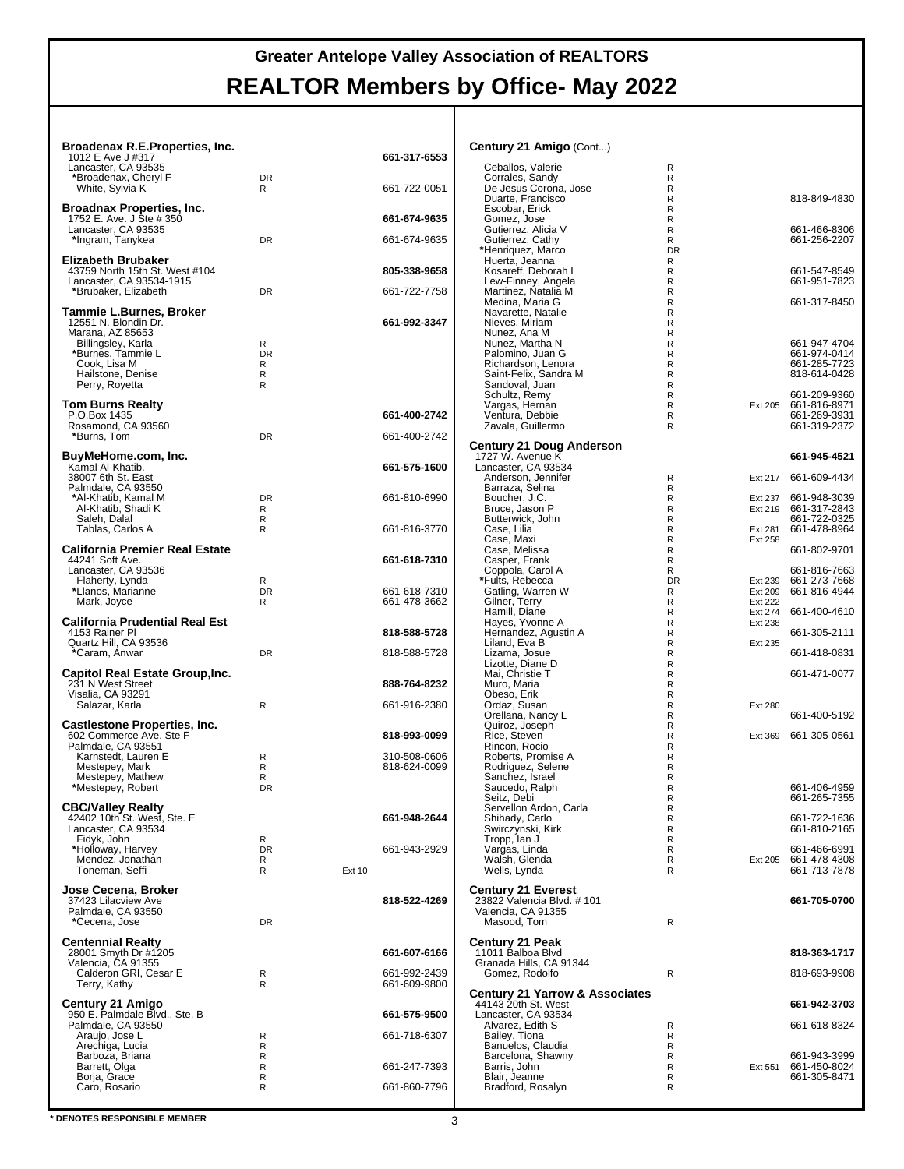| Broadenax R.E.Properties, Inc.                               |                   |               |                              | Century 21 Amigo (Cont)                          |                   |                    |                                      |
|--------------------------------------------------------------|-------------------|---------------|------------------------------|--------------------------------------------------|-------------------|--------------------|--------------------------------------|
| 1012 E Ave J #317                                            |                   |               | 661-317-6553                 |                                                  |                   |                    |                                      |
| Lancaster, CA 93535<br>*Broadenax, Cheryl F                  | <b>DR</b>         |               |                              | Ceballos, Valerie<br>Corrales, Sandy             | R<br>R            |                    |                                      |
| White, Sylvia K                                              | R                 |               | 661-722-0051                 | De Jesus Corona, Jose<br>Duarte, Francisco       | $\mathsf{R}$<br>R |                    | 818-849-4830                         |
| <b>Broadnax Properties, Inc.</b><br>1752 E. Ave. J Ste # 350 |                   |               | 661-674-9635                 | Escobar, Erick<br>Gomez, Jose                    | R<br>R            |                    |                                      |
| Lancaster, CA 93535                                          |                   |               |                              | Gutierrez, Alicia V                              | R                 |                    | 661-466-8306                         |
| *Ingram, Tanykea                                             | <b>DR</b>         |               | 661-674-9635                 | Gutierrez, Cathy<br>*Henriquez, Marco            | R<br><b>DR</b>    |                    | 661-256-2207                         |
| Elizabeth Brubaker<br>43759 North 15th St. West #104         |                   |               | 805-338-9658                 | Huerta, Jeanna<br>Kosareff, Deborah L            | R<br>R            |                    | 661-547-8549                         |
| Lancaster, CA 93534-1915                                     |                   |               |                              | Lew-Finney, Angela                               | R                 |                    | 661-951-7823                         |
| *Brubaker, Elizabeth                                         | DR                |               | 661-722-7758                 | Martinez, Natalia M<br>Medina, Maria G           | R<br>R            |                    | 661-317-8450                         |
| Tammie L.Burnes, Broker<br>12551 N. Blondin Dr.              |                   |               | 661-992-3347                 | Navarette, Natalie<br>Nieves, Miriam             | $\mathsf{R}$<br>R |                    |                                      |
| Marana, AZ 85653<br>Billingsley, Karla                       | R                 |               |                              | Nunez, Ana M<br>Nunez, Martha N                  | R<br>R            |                    | 661-947-4704                         |
| *Burnes, Tammie L                                            | <b>DR</b>         |               |                              | Palomino, Juan G                                 | R                 |                    | 661-974-0414                         |
| Cook, Lisa M<br>Hailstone, Denise                            | R<br>R            |               |                              | Richardson, Lenora<br>Saint-Felix, Sandra M      | R<br>$\mathsf{R}$ |                    | 661-285-7723<br>818-614-0428         |
| Perry, Royetta                                               | R                 |               |                              | Sandoval, Juan<br>Schultz, Remy                  | R<br>R            |                    | 661-209-9360                         |
| <b>Tom Burns Realty</b><br>P.O.Box 1435                      |                   |               | 661-400-2742                 | Vargas, Hernan                                   | $\mathsf{R}$      |                    | Ext 205 661-816-8971                 |
| Rosamond, CA 93560                                           |                   |               |                              | Ventura, Debbie<br>Zavala, Guillermo             | R<br>R            |                    | 661-269-3931<br>661-319-2372         |
| *Burns, Tom                                                  | <b>DR</b>         |               | 661-400-2742                 | <b>Century 21 Doug Anderson</b>                  |                   |                    |                                      |
| BuyMeHome.com, Inc.<br>Kamal Al-Khatib.                      |                   |               | 661-575-1600                 | 1727 W. Avenue K<br>Lancaster, CA 93534          |                   |                    | 661-945-4521                         |
| 38007 6th St. East                                           |                   |               |                              | Anderson, Jennifer                               | R                 |                    | Ext 217 661-609-4434                 |
| Palmdale, CA 93550<br>*Al-Khatib, Kamal M                    | <b>DR</b>         |               | 661-810-6990                 | Barraza, Selina<br>Boucher, J.C.                 | R<br>R.           |                    | Ext 237 661-948-3039                 |
| Al-Khatib, Shadi K<br>Saleh, Dalal                           | R<br>R            |               |                              | Bruce, Jason P<br>Butterwick, John               | R<br>R            |                    | Ext 219 661-317-2843<br>661-722-0325 |
| Tablas, Carlos A                                             | R                 |               | 661-816-3770                 | Case, Lilia                                      | $\mathsf{R}$      | Ext 281            | 661-478-8964                         |
| <b>California Premier Real Estate</b>                        |                   |               |                              | Case, Maxi<br>Case, Melissa                      | R<br>R            | Ext 258            | 661-802-9701                         |
| 44241 Soft Ave.<br>Lancaster, CA 93536                       |                   |               | 661-618-7310                 | Casper, Frank<br>Coppola, Carol A                | R<br>R            |                    | 661-816-7663                         |
| Flaherty, Lynda                                              | R<br><b>DR</b>    |               | 661-618-7310                 | *Fults, Rebecca<br>Gatling, Warren W             | <b>DR</b><br>R    | Ext 239<br>Ext 209 | 661-273-7668<br>661-816-4944         |
| *Llanos, Marianne<br>Mark, Joyce                             | R                 |               | 661-478-3662                 | Gilner, Terry                                    | R                 | <b>Ext 222</b>     |                                      |
| <b>California Prudential Real Est</b>                        |                   |               |                              | Hamill, Diane<br>Hayes, Yvonne A                 | R<br>$\mathsf{R}$ | Ext 274<br>Ext 238 | 661-400-4610                         |
| 4153 Rainer Pl<br>Quartz Hill, CA 93536                      |                   |               | 818-588-5728                 | Hernandez, Agustin A<br>Liland, Eva B            | R<br>R            | Ext 235            | 661-305-2111                         |
| *Caram, Anwar                                                | <b>DR</b>         |               | 818-588-5728                 | Lizama, Josue                                    | $\mathsf{R}$      |                    | 661-418-0831                         |
| <b>Capitol Real Estate Group, Inc.</b>                       |                   |               |                              | Lizotte, Diane D<br>Mai, Christie T              | R<br>R            |                    | 661-471-0077                         |
| 231 N West Street<br>Visalia, CA 93291                       |                   |               | 888-764-8232                 | Muro, Maria<br>Obeso, Erik                       | $\mathsf{R}$<br>R |                    |                                      |
| Salazar, Karla                                               | R                 |               | 661-916-2380                 | Ordaz, Susan<br>Orellana, Nancy L                | R<br>R            | <b>Ext 280</b>     | 661-400-5192                         |
| <b>Castlestone Properties, Inc.</b>                          |                   |               |                              | Quiroz, Joseph                                   | R                 |                    |                                      |
| 602 Commerce Ave. Ste F<br>Palmdale, CA 93551                |                   |               | 818-993-0099                 | Rice, Steven<br>Rincon, Rocio                    | R<br>R            |                    | Ext 369 661-305-0561                 |
| Karnstedt, Lauren E<br>Mestepey, Mark                        | R<br>R            |               | 310-508-0606<br>818-624-0099 | Roberts, Promise A<br>Rodriguez, Selene          | R<br>R            |                    |                                      |
| Mestepey, Mathew                                             | R<br>DR           |               |                              | Sanchez, Israel                                  | R                 |                    | 661-406-4959                         |
| *Mestepey, Robert                                            |                   |               |                              | Saucedo, Ralph<br>Seitz, Debi                    | R<br>R            |                    | 661-265-7355                         |
| <b>CBC/Valley Realty</b><br>42402 10th St. West, Ste. E      |                   |               | 661-948-2644                 | Servellon Ardon, Carla<br>Shihady, Carlo         | R<br>R            |                    | 661-722-1636                         |
| Lancaster, CA 93534<br>Fidyk, John                           | R                 |               |                              | Swirczynski, Kirk<br>Tropp, Ian J                | R<br>R            |                    | 661-810-2165                         |
| *Holloway, Harvey                                            | DR                |               | 661-943-2929                 | Vargas, Linda                                    | R                 |                    | 661-466-6991                         |
| Mendez, Jonathan<br>Toneman, Seffi                           | R<br>$\mathsf{R}$ | <b>Ext 10</b> |                              | Walsh, Glenda<br>Wells, Lynda                    | R<br>R            | Ext 205            | 661-478-4308<br>661-713-7878         |
| Jose Cecena, Broker                                          |                   |               |                              | <b>Century 21 Everest</b>                        |                   |                    |                                      |
| 37423 Lilacview Ave<br>Palmdale, CA 93550                    |                   |               | 818-522-4269                 | 23822 Valencia Blvd. # 101<br>Valencia, CA 91355 |                   |                    | 661-705-0700                         |
| *Cecena, Jose                                                | DR                |               |                              | Masood, Tom                                      | R                 |                    |                                      |
| <b>Centennial Realty</b>                                     |                   |               |                              | <b>Century 21 Peak</b>                           |                   |                    |                                      |
| 28001 Smyth Dr #1205<br>Valencia, CA 91355                   |                   |               | 661-607-6166                 | 11011 Balboa Blvd<br>Granada Hills, CA 91344     |                   |                    | 818-363-1717                         |
| Calderon GRI, Cesar E<br>Terry, Kathy                        | R<br>R            |               | 661-992-2439<br>661-609-9800 | Gomez, Rodolfo                                   | R                 |                    | 818-693-9908                         |
|                                                              |                   |               |                              | <b>Century 21 Yarrow &amp; Associates</b>        |                   |                    |                                      |
| Century 21 Amigo<br>950 E. Palmdale Blvd., Ste. B            |                   |               | 661-575-9500                 | 44143 20th St. West<br>Lancaster, CA 93534       |                   |                    | 661-942-3703                         |
| Palmdale, CA 93550<br>Araujo, Jose L                         | R                 |               | 661-718-6307                 | Alvarez, Edith S<br>Bailey, Tiona                | $\mathsf{R}$<br>R |                    | 661-618-8324                         |
| Arechiga, Lucia<br>Barboza, Briana                           | R<br>R            |               |                              | Banuelos, Claudia<br>Barcelona, Shawny           | R<br>R            |                    | 661-943-3999                         |
| Barrett, Olga                                                | R                 |               | 661-247-7393                 | Barris, John                                     | R                 | Ext 551            | 661-450-8024                         |
| Borja, Grace<br>Caro, Rosario                                | R<br>R            |               | 661-860-7796                 | Blair, Jeanne<br>Bradford, Rosalyn               | R<br>R            |                    | 661-305-8471                         |
|                                                              |                   |               |                              |                                                  |                   |                    |                                      |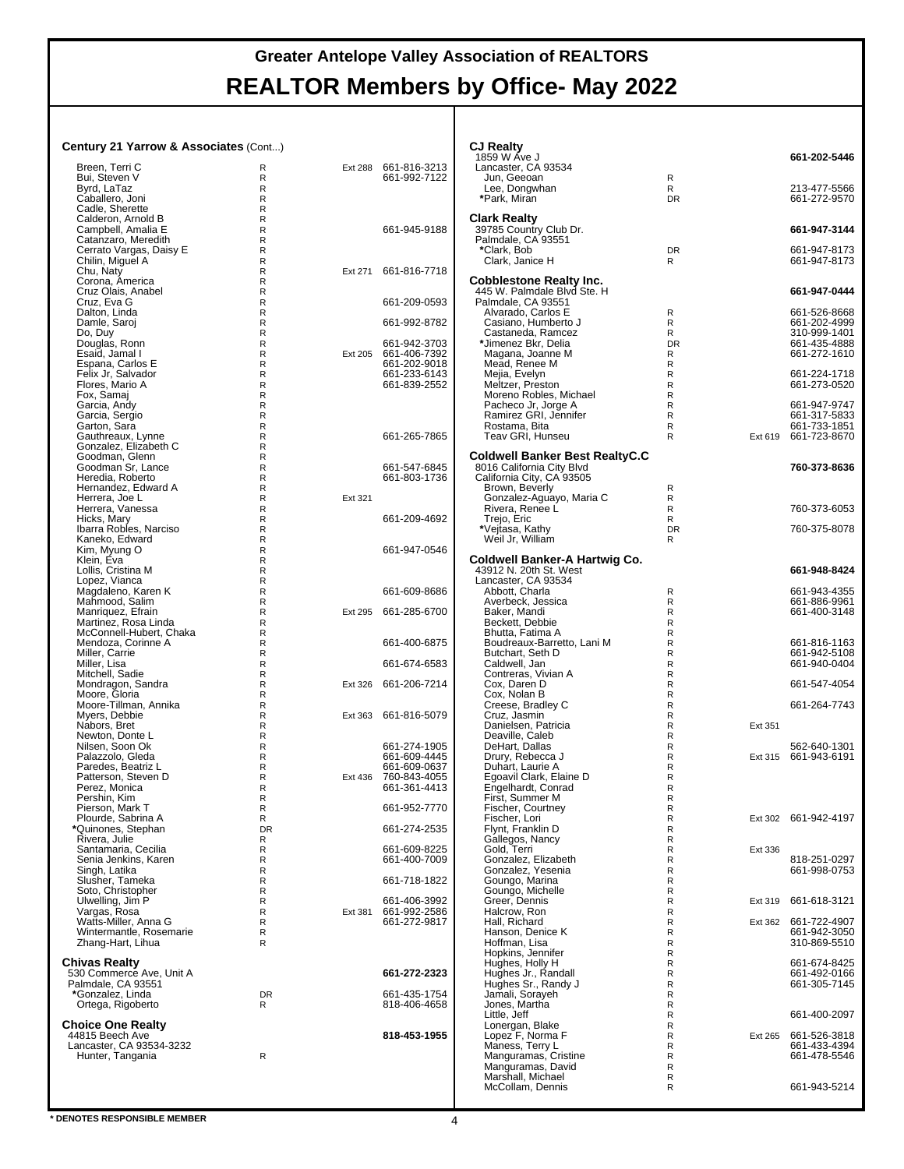**CJ Realty**

#### **Century 21 Yarrow & Associates** (Cont...)

| <b>Century 21 Yarrow &amp; Associates (Cont)</b> |                             |         |                                      | <b>CJ Realty</b><br>1859 W Ave J                              |                   |         | 661-202-5446                 |
|--------------------------------------------------|-----------------------------|---------|--------------------------------------|---------------------------------------------------------------|-------------------|---------|------------------------------|
| Breen, Terri C                                   | R                           |         | Ext 288 661-816-3213                 | Lancaster, CA 93534                                           |                   |         |                              |
| Bui, Steven V                                    | R                           |         | 661-992-7122                         | Jun, Geeoan                                                   | R                 |         |                              |
| Byrd, LaTaz<br>Caballero, Joni                   | $\mathsf{R}$<br>R           |         |                                      | Lee, Dongwhan<br>*Park, Miran                                 | R<br><b>DR</b>    |         | 213-477-5566<br>661-272-9570 |
| Cadle, Sherette                                  | $\mathsf{R}$                |         |                                      |                                                               |                   |         |                              |
| Calderon, Arnold B                               | R                           |         |                                      | <b>Clark Realty</b>                                           |                   |         |                              |
| Campbell, Amalia E                               | R                           |         | 661-945-9188                         | 39785 Country Club Dr.                                        |                   |         | 661-947-3144                 |
| Catanzaro, Meredith<br>Cerrato Vargas, Daisy E   | $\mathsf R$<br>$\mathsf{R}$ |         |                                      | Palmdale, CA 93551<br>*Clark, Bob                             | <b>DR</b>         |         | 661-947-8173                 |
| Chilin, Miguel A                                 | R                           |         |                                      | Clark, Janice H                                               | R                 |         | 661-947-8173                 |
| Chu, Naty                                        | $\mathsf{R}$                | Ext 271 | 661-816-7718                         |                                                               |                   |         |                              |
| Corona, America                                  | R                           |         |                                      | <b>Cobblestone Realty Inc.</b><br>445 W. Palmdale Blvd Ste. H |                   |         |                              |
| Cruz Olais, Anabel<br>Cruz, Eva G                | R<br>$\mathsf R$            |         | 661-209-0593                         | Palmdale, CA 93551                                            |                   |         | 661-947-0444                 |
| Dalton, Linda                                    | $\mathsf{R}$                |         |                                      | Alvarado, Carlos E                                            | R                 |         | 661-526-8668                 |
| Damle, Saroj                                     | R                           |         | 661-992-8782                         | Casiano, Humberto J                                           | R                 |         | 661-202-4999                 |
| Do, Duy                                          | $\mathsf{R}$                |         |                                      | Castaneda, Ramcez                                             | R                 |         | 310-999-1401                 |
| Douglas, Ronn<br>Esaid, Jamal I                  | R<br>R                      |         | 661-942-3703<br>Ext 205 661-406-7392 | *Jimenez Bkr, Delia<br>Magana, Joanne M                       | <b>DR</b><br>R    |         | 661-435-4888<br>661-272-1610 |
| Espana, Carlos E                                 | $\mathsf R$                 |         | 661-202-9018                         | Mead, Renee M                                                 | R                 |         |                              |
| Felix Jr, Salvador                               | $\mathsf{R}$                |         | 661-233-6143                         | Mejia, Evelyn                                                 | R                 |         | 661-224-1718                 |
| Flores, Mario A                                  | R                           |         | 661-839-2552                         | Meltzer, Preston                                              | $\mathsf{R}$      |         | 661-273-0520                 |
| Fox, Samaj                                       | $\mathsf R$                 |         |                                      | Moreno Robles, Michael                                        | $\mathsf{R}$      |         |                              |
| Garcia, Andy<br>Garcia, Sergio                   | $\mathsf{R}$<br>R           |         |                                      | Pacheco Jr, Jorge A<br>Ramirez GRI, Jennifer                  | R<br>R            |         | 661-947-9747<br>661-317-5833 |
| Garton, Sara                                     | R                           |         |                                      | Rostama, Bita                                                 | R                 |         | 661-733-1851                 |
| Gauthreaux, Lynne                                | $\mathsf{R}$                |         | 661-265-7865                         | Teav GRI. Hunseu                                              | R                 | Ext 619 | 661-723-8670                 |
| Gonzalez, Elizabeth C                            | R                           |         |                                      |                                                               |                   |         |                              |
| Goodman, Glenn<br>Goodman Sr, Lance              | $\mathsf{R}$<br>R           |         | 661-547-6845                         | Coldwell Banker Best RealtyC.C<br>8016 California City Blvd   |                   |         | 760-373-8636                 |
| Heredia, Roberto                                 | R                           |         | 661-803-1736                         | California City, CA 93505                                     |                   |         |                              |
| Hernandez, Edward A                              | $\mathsf{R}$                |         |                                      | Brown, Beverly                                                | R                 |         |                              |
| Herrera, Joe L                                   | $\mathsf{R}$                | Ext 321 |                                      | Gonzalez-Aguayo, Maria C                                      | R                 |         |                              |
| Herrera, Vanessa<br>Hicks, Mary                  | R<br>$\mathsf{R}$           |         | 661-209-4692                         | Rivera, Renee L                                               | R<br>R            |         | 760-373-6053                 |
| Ibarra Robles, Narciso                           | R                           |         |                                      | Trejo, Eric<br>*Vejtasa, Kathy                                | <b>DR</b>         |         | 760-375-8078                 |
| Kaneko, Edward                                   | R                           |         |                                      | Weil Jr, William                                              | R                 |         |                              |
| Kim, Myung O                                     | R                           |         | 661-947-0546                         |                                                               |                   |         |                              |
| Klein, Eva                                       | $\mathsf{R}$                |         |                                      | Coldwell Banker-A Hartwig Co.<br>43912 N. 20th St. West       |                   |         | 661-948-8424                 |
| Lollis, Cristina M<br>Lopez, Vianca              | R<br>$\mathsf{R}$           |         |                                      | Lancaster, CA 93534                                           |                   |         |                              |
|                                                  | R                           |         | 661-609-8686                         | Abbott, Charla                                                | R                 |         | 661-943-4355                 |
| Magdaleno, Karen K<br>Mahmood, Salim             | R                           |         |                                      | Averbeck, Jessica                                             | R                 |         | 661-886-9961                 |
| Manriquez, Efrain                                | $\mathsf{R}$                |         | Ext 295 661-285-6700                 | Baker, Mandi                                                  | $\mathsf{R}$      |         | 661-400-3148                 |
| Martinez, Rosa Linda<br>McConnell-Hubert, Chaka  | $\mathsf{R}$<br>R           |         |                                      | Beckett, Debbie<br>Bhutta, Fatima A                           | R<br>$\mathsf{R}$ |         |                              |
| Mendoza, Corinne A                               | R                           |         | 661-400-6875                         | Boudreaux-Barretto, Lani M                                    | $\mathsf{R}$      |         | 661-816-1163                 |
| Miller, Carrie                                   | R                           |         |                                      | Butchart, Seth D                                              | $\mathsf{R}$      |         | 661-942-5108                 |
| Miller, Lisa                                     | R                           |         | 661-674-6583                         | Caldwell, Jan                                                 | R                 |         | 661-940-0404                 |
| Mitchell, Sadie                                  | $\mathsf R$                 |         |                                      | Contreras, Vivian A                                           | $\mathsf{R}$      |         |                              |
| Mondragon, Sandra<br>Moore, Gloria               | R<br>R                      |         | Ext 326 661-206-7214                 | Cox, Daren D<br>Cox, Nolan B                                  | R<br>$\mathsf{R}$ |         | 661-547-4054                 |
| Moore-Tillman, Annika                            | R                           |         |                                      | Creese, Bradley C                                             | $\mathsf{R}$      |         | 661-264-7743                 |
| Myers, Debbie                                    | R                           |         | Ext 363 661-816-5079                 | Cruz, Jasmin                                                  | R                 |         |                              |
| Nabors, Bret                                     | R                           |         |                                      | Danielsen, Patricia                                           | R                 | Ext 351 |                              |
| Newton, Donte L<br>Nilsen, Soon Ok               | $\mathsf R$<br>$\mathsf R$  |         | 661-274-1905                         | Deaville, Caleb<br>DeHart, Dallas                             | R<br>R            |         | 562-640-1301                 |
| Palazzolo, Gleda                                 | R                           |         | 661-609-4445                         | Drury, Rebecca J                                              | $\mathsf{R}$      |         | Ext 315 661-943-6191         |
| Paredes, Beatriz L                               | R                           |         | 661-609-0637                         | Duhart, Laurie A                                              | R                 |         |                              |
| Patterson, Steven D                              | R                           |         | Ext 436 760-843-4055                 | Egoavil Clark, Elaine D                                       | R                 |         |                              |
| Perez, Monica<br>Pershin, Kim                    | R<br>$\mathsf{R}$           |         | 661-361-4413                         | Engelhardt, Conrad<br>First, Summer M                         | R<br>R            |         |                              |
| Pierson, Mark T                                  | $\mathsf R$                 |         | 661-952-7770                         | <b>Eischer, Courtney</b>                                      | R                 |         |                              |
| Plourde, Sabrina A                               | R                           |         |                                      | Fischer, Lori                                                 | R                 |         | Ext 302 661-942-4197         |
| *Quinones, Stephan                               | <b>DR</b>                   |         | 661-274-2535                         | Flynt, Franklin D                                             | R                 |         |                              |
| Rivera, Julie<br>Santamaria, Cecilia             | R<br>R                      |         | 661-609-8225                         | Gallegos, Nancy<br>Gold, Terri                                | R<br>R            | Ext 336 |                              |
| Senia Jenkins, Karen                             | $\mathsf R$                 |         | 661-400-7009                         | Gonzalez, Elizabeth                                           | R                 |         | 818-251-0297                 |
| Singh, Latika                                    | R                           |         |                                      | Gonzalez, Yesenia                                             | R                 |         | 661-998-0753                 |
| Slusher, Tameka                                  | R                           |         | 661-718-1822                         | Goungo, Marina                                                | $\mathsf{R}$      |         |                              |
| Soto, Christopher                                | R                           |         | 661-406-3992                         | Goungo, Michelle<br>Greer, Dennis                             | R                 |         | 661-618-3121                 |
| Ulwelling, Jim P<br>Vargas, Rosa                 | R<br>R                      |         | Ext 381 661-992-2586                 | Halcrow, Ron                                                  | $\mathsf{R}$<br>R | Ext 319 |                              |
| Watts-Miller, Anna G                             | $\mathsf R$                 |         | 661-272-9817                         | Hall, Richard                                                 | R                 |         | Ext 362 661-722-4907         |
| Wintermantle, Rosemarie                          | $\mathsf R$                 |         |                                      | Hanson, Denice K                                              | R                 |         | 661-942-3050                 |
| Zhang-Hart, Lihua                                | R                           |         |                                      | Hoffman, Lisa                                                 | R                 |         | 310-869-5510                 |
| <b>Chivas Realty</b>                             |                             |         |                                      | Hopkins, Jennifer<br>Hughes, Holly H                          | R<br>R            |         | 661-674-8425                 |
| 530 Commerce Ave, Unit A                         |                             |         | 661-272-2323                         | Hughes Jr., Randall                                           | R                 |         | 661-492-0166                 |
| Palmdale, CA 93551                               |                             |         |                                      | Hughes Sr., Randy J                                           | R                 |         | 661-305-7145                 |
| *Gonzalez, Linda                                 | DR                          |         | 661-435-1754                         | Jamali, Sorayeh                                               | R                 |         |                              |
| Ortega, Rigoberto                                | R                           |         | 818-406-4658                         | Jones, Martha<br>Little, Jeff                                 | $\mathsf{R}$<br>R |         | 661-400-2097                 |
| <b>Choice One Realty</b>                         |                             |         |                                      |                                                               | R                 |         |                              |
| 44815 Beech Ave                                  |                             |         | 818-453-1955                         | Lonergan, Blake<br>Lopez F, Norma F                           | R                 |         | Ext 265 661-526-3818         |
| Lancaster, CA 93534-3232                         |                             |         |                                      | Maness, Terry L                                               | R                 |         | 661-433-4394                 |
| Hunter, Tangania                                 | R                           |         |                                      | Manguramas, Cristine<br>Manguramas, David                     | R<br>R            |         | 661-478-5546                 |
|                                                  |                             |         |                                      | Marshall, Michael                                             | R                 |         |                              |
|                                                  |                             |         |                                      | McCollam, Dennis                                              | R                 |         | 661-943-5214                 |
|                                                  |                             |         |                                      |                                                               |                   |         |                              |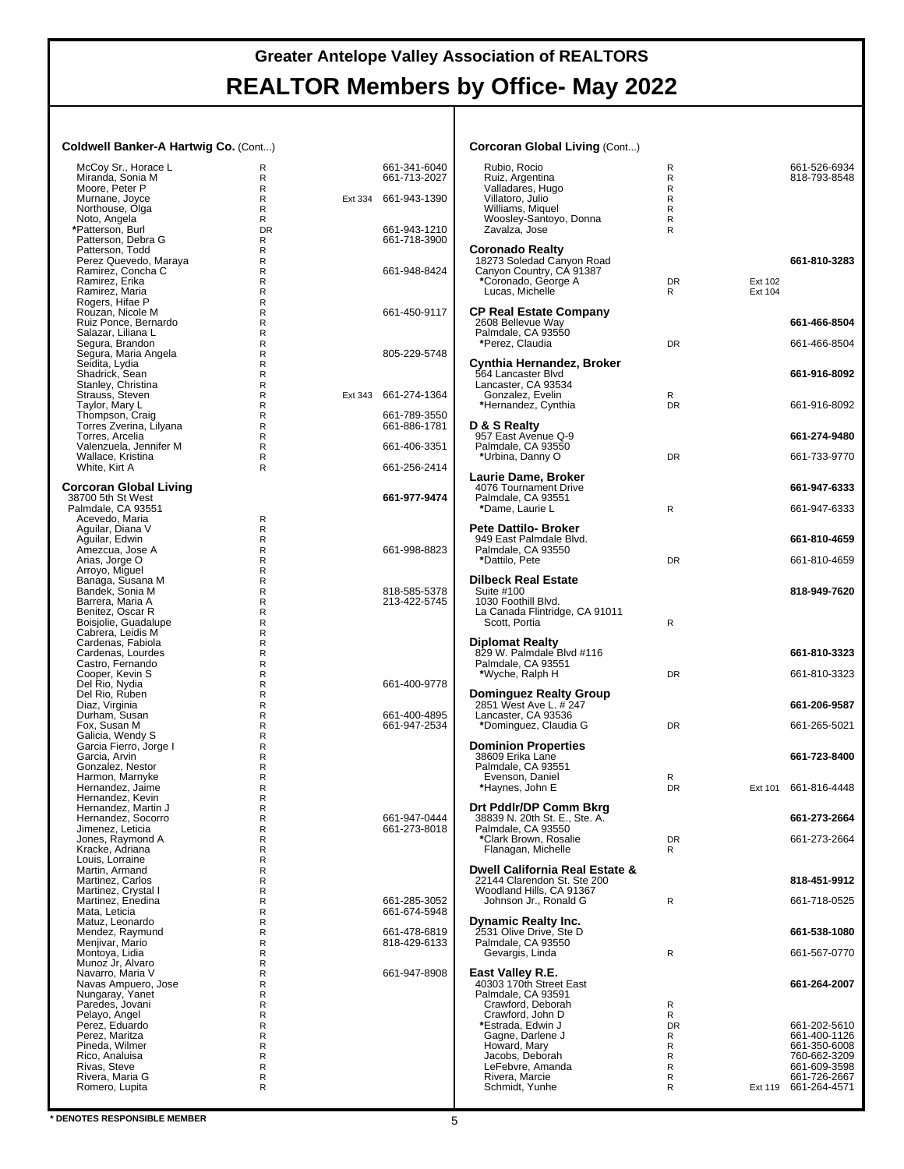#### **Coldwell Banker-A Hartwig Co.** (Cont...)

| Coldwell Banker-A Hartwig Co. (Cont)       |                              |         |                              | <b>Corcoran Global Living (Cont)</b>                  |                   |         |                              |
|--------------------------------------------|------------------------------|---------|------------------------------|-------------------------------------------------------|-------------------|---------|------------------------------|
| McCoy Sr., Horace L                        | R                            |         | 661-341-6040                 | Rubio, Rocio                                          | R                 |         | 661-526-6934                 |
| Miranda, Sonia M                           | R                            |         | 661-713-2027                 | Ruiz, Argentina                                       | R                 |         | 818-793-8548                 |
| Moore, Peter P                             | R                            |         |                              | Valladares, Hugo                                      | R<br>$\mathsf{R}$ |         |                              |
| Murnane, Joyce<br>Northouse, Olga          | R<br>R                       | Ext 334 | 661-943-1390                 | Villatoro, Julio<br>Williams, Miquel                  | R                 |         |                              |
| Noto, Angela                               | R                            |         |                              | Woosley-Santoyo, Donna                                | R                 |         |                              |
| *Patterson, Burl                           | <b>DR</b>                    |         | 661-943-1210                 | Zavalza, Jose                                         | R                 |         |                              |
| Patterson, Debra G                         | R                            |         | 661-718-3900                 |                                                       |                   |         |                              |
| Patterson, Todd                            | R                            |         |                              | <b>Coronado Realty</b>                                |                   |         | 661-810-3283                 |
| Perez Quevedo, Maraya<br>Ramirez, Concha C | R<br>$\mathsf{R}$            |         | 661-948-8424                 | 18273 Soledad Canyon Road<br>Canyon Country, CA 91387 |                   |         |                              |
| Ramirez, Erika                             | $\mathsf{R}$                 |         |                              | *Coronado, George A                                   | DR                | Ext 102 |                              |
| Ramirez, Maria                             | R                            |         |                              | Lucas, Michelle                                       | R                 | Ext 104 |                              |
| Rogers, Hifae P                            | $\mathsf{R}$                 |         |                              |                                                       |                   |         |                              |
| Rouzan, Nicole M                           | R                            |         | 661-450-9117                 | <b>CP Real Estate Company</b>                         |                   |         |                              |
| Ruiz Ponce, Bernardo<br>Salazar, Liliana L | $\mathsf{R}$<br>$\mathsf{R}$ |         |                              | 2608 Bellevue Way<br>Palmdale, CA 93550               |                   |         | 661-466-8504                 |
| Segura, Brandon                            | $\mathsf{R}$                 |         |                              | *Perez, Claudia                                       | DR                |         | 661-466-8504                 |
| Segura, Maria Angela                       | R                            |         | 805-229-5748                 |                                                       |                   |         |                              |
| Seidita, Lydia                             | $\mathsf{R}$                 |         |                              | Cynthia Hernandez, Broker                             |                   |         |                              |
| Shadrick, Sean<br>Stanley, Christina       | $\mathsf{R}$                 |         |                              | 564 Lancaster Blvd                                    |                   |         | 661-916-8092                 |
| Strauss, Steven                            | R<br>$\mathsf{R}$            |         | Ext 343 661-274-1364         | Lancaster, CA 93534                                   |                   |         |                              |
| Taylor, Mary L                             | R                            |         |                              | Gonzalez, Evelin<br>*Hernandez, Cynthia               | R<br>DR           |         | 661-916-8092                 |
| Thompson, Craig                            | R                            |         | 661-789-3550                 |                                                       |                   |         |                              |
| Torres Zverina, Lilyana                    | R                            |         | 661-886-1781                 | D & S Realty                                          |                   |         |                              |
| Torres, Arcelia                            | R                            |         |                              | 957 East Avenue Q-9                                   |                   |         | 661-274-9480                 |
| Valenzuela, Jennifer M                     | R                            |         | 661-406-3351                 | Palmdale, CA 93550                                    |                   |         |                              |
| Wallace, Kristina<br>White, Kirt A         | R<br>R                       |         | 661-256-2414                 | *Urbina, Danny O                                      | DR                |         | 661-733-9770                 |
|                                            |                              |         |                              | Laurie Dame, Broker                                   |                   |         |                              |
| <b>Corcoran Global Living</b>              |                              |         |                              | 4076 Tournament Drive                                 |                   |         | 661-947-6333                 |
| 38700 5th St West                          |                              |         | 661-977-9474                 | Palmdale, CA 93551                                    |                   |         |                              |
| Palmdale, CA 93551                         |                              |         |                              | *Dame, Laurie L                                       | R                 |         | 661-947-6333                 |
| Acevedo, Maria<br>Aguilar, Diana V         | R<br>R                       |         |                              | <b>Pete Dattilo- Broker</b>                           |                   |         |                              |
| Aguilar, Edwin                             | R                            |         |                              | 949 East Palmdale Blvd.                               |                   |         | 661-810-4659                 |
| Amezcua, Jose A                            | $\mathsf{R}$                 |         | 661-998-8823                 | Palmdale, CA 93550                                    |                   |         |                              |
| Arias, Jorge O                             | R                            |         |                              | *Dattilo, Pete                                        | DR                |         | 661-810-4659                 |
| Arroyo, Miguel                             | R                            |         |                              |                                                       |                   |         |                              |
| Banaga, Susana M                           | $\mathsf{R}$                 |         |                              | <b>Dilbeck Real Estate</b>                            |                   |         |                              |
| Bandek, Sonia M<br>Barrera, Maria A        | ${\sf R}$<br>$\mathsf{R}$    |         | 818-585-5378<br>213-422-5745 | Suite #100<br>1030 Foothill Blvd.                     |                   |         | 818-949-7620                 |
| Benitez, Oscar R                           | $\mathsf{R}$                 |         |                              | La Canada Flintridge, CA 91011                        |                   |         |                              |
| Boisjolie, Guadalupe                       | R                            |         |                              | Scott, Portia                                         | R                 |         |                              |
| Cabrera, Leidis M                          | $\mathsf{R}$                 |         |                              |                                                       |                   |         |                              |
| Cardenas, Fabiola                          | $\mathsf{R}$                 |         |                              | <b>Diplomat Realty</b>                                |                   |         |                              |
| Cardenas, Lourdes<br>Castro, Fernando      | $\mathsf{R}$<br>R            |         |                              | 829 W. Palmdale Blvd #116<br>Palmdale, CA 93551       |                   |         | 661-810-3323                 |
| Cooper, Kevin S                            | $\mathsf{R}$                 |         |                              | *Wyche, Ralph H                                       | <b>DR</b>         |         | 661-810-3323                 |
| Del Rio, Nydia                             | $\mathsf{R}$                 |         | 661-400-9778                 |                                                       |                   |         |                              |
| Del Rio, Ruben                             | R                            |         |                              | <b>Dominguez Realty Group</b>                         |                   |         |                              |
| Diaz, Virginia                             | R                            |         |                              | 2851 West Ave L. # 247                                |                   |         | 661-206-9587                 |
| Durham, Susan<br>Fox, Susan M              | $\mathsf{R}$<br>R            |         | 661-400-4895<br>661-947-2534 | Lancaster, CA 93536                                   | <b>DR</b>         |         | 661-265-5021                 |
| Galicia, Wendy S                           | $\mathsf{R}$                 |         |                              | *Dominguez, Claudia G                                 |                   |         |                              |
| Garcia Fierro, Jorge I                     | R                            |         |                              | <b>Dominion Properties</b>                            |                   |         |                              |
| Garcia, Arvin                              | R                            |         |                              | 38609 Erika Lane                                      |                   |         | 661-723-8400                 |
| Gonzalez, Nestor                           | $\mathsf{R}$                 |         |                              | Palmdale, CA 93551                                    |                   |         |                              |
| Harmon, Marnyke                            | R                            |         |                              | Evenson, Daniel                                       | R                 |         |                              |
| Hernandez, Jaime<br>Hernandez, Kevin       | R<br>$\mathsf{R}$            |         |                              | *Haynes, John E                                       | <b>DR</b>         |         | Ext 101 661-816-4448         |
| Hernandez, Martin J                        | R                            |         |                              | Drt Pddlr/DP Comm Bkrg                                |                   |         |                              |
| Hernandez, Socorro                         | R                            |         | 661-947-0444                 | 38839 N. 20th St. E., Ste. A.                         |                   |         | 661-273-2664                 |
| Jimenez. Leticia                           | R                            |         | 661-273-8018                 | Palmdale, CA 93550                                    |                   |         |                              |
| Jones, Raymond A                           | R                            |         |                              | *Clark Brown, Rosalie                                 | DR                |         | 661-273-2664                 |
| Kracke, Adriana<br>Louis, Lorraine         | R<br>R                       |         |                              | Flanagan, Michelle                                    | R                 |         |                              |
| Martin, Armand                             | R                            |         |                              | Dwell California Real Estate &                        |                   |         |                              |
| Martinez, Carlos                           | R                            |         |                              | 22144 Clarendon St. Ste 200                           |                   |         | 818-451-9912                 |
| Martinez. Crystal I                        | R                            |         |                              | Woodland Hills, CA 91367                              |                   |         |                              |
| Martinez, Enedina                          | R                            |         | 661-285-3052                 | Johnson Jr., Ronald G                                 | R                 |         | 661-718-0525                 |
| Mata, Leticia                              | R                            |         | 661-674-5948                 |                                                       |                   |         |                              |
| Matuz, Leonardo<br>Mendez, Raymund         | R<br>R                       |         | 661-478-6819                 | <b>Dynamic Realty Inc.</b><br>2531 Olive Drive. Ste D |                   |         | 661-538-1080                 |
| Menjivar, Mario                            | R                            |         | 818-429-6133                 | Palmdale, CA 93550                                    |                   |         |                              |
| Montoya, Lidia                             | R                            |         |                              | Gevargis, Linda                                       | R                 |         | 661-567-0770                 |
| Munoz Jr, Alvaro                           | R                            |         |                              |                                                       |                   |         |                              |
| Navarro, Maria V                           | R                            |         | 661-947-8908                 | East Valley R.E.                                      |                   |         |                              |
| Navas Ampuero, Jose                        | R                            |         |                              | 40303 170th Street East                               |                   |         | 661-264-2007                 |
| Nungaray, Yanet<br>Paredes, Jovani         | R<br>R                       |         |                              | Palmdale, CA 93591<br>Crawford, Deborah               | R                 |         |                              |
| Pelayo, Angel                              | R                            |         |                              | Crawford, John D                                      | R                 |         |                              |
| Perez, Eduardo                             | R                            |         |                              | *Estrada, Edwin J                                     | <b>DR</b>         |         | 661-202-5610                 |
| Perez, Maritza                             | R                            |         |                              | Gagne, Darlene J                                      | R                 |         | 661-400-1126                 |
| Pineda, Wilmer                             | R                            |         |                              | Howard, Mary                                          | R                 |         | 661-350-6008                 |
| Rico, Analuisa<br>Rivas, Steve             | R<br>R                       |         |                              | Jacobs, Deborah<br>LeFebvre, Amanda                   | R<br>R            |         | 760-662-3209<br>661-609-3598 |
| Rivera, Maria G                            | R                            |         |                              | Rivera, Marcie                                        | R                 |         | 661-726-2667                 |
| Romero, Lupita                             | R                            |         |                              | Schmidt, Yunhe                                        | R                 |         | Ext 119 661-264-4571         |
|                                            |                              |         |                              |                                                       |                   |         |                              |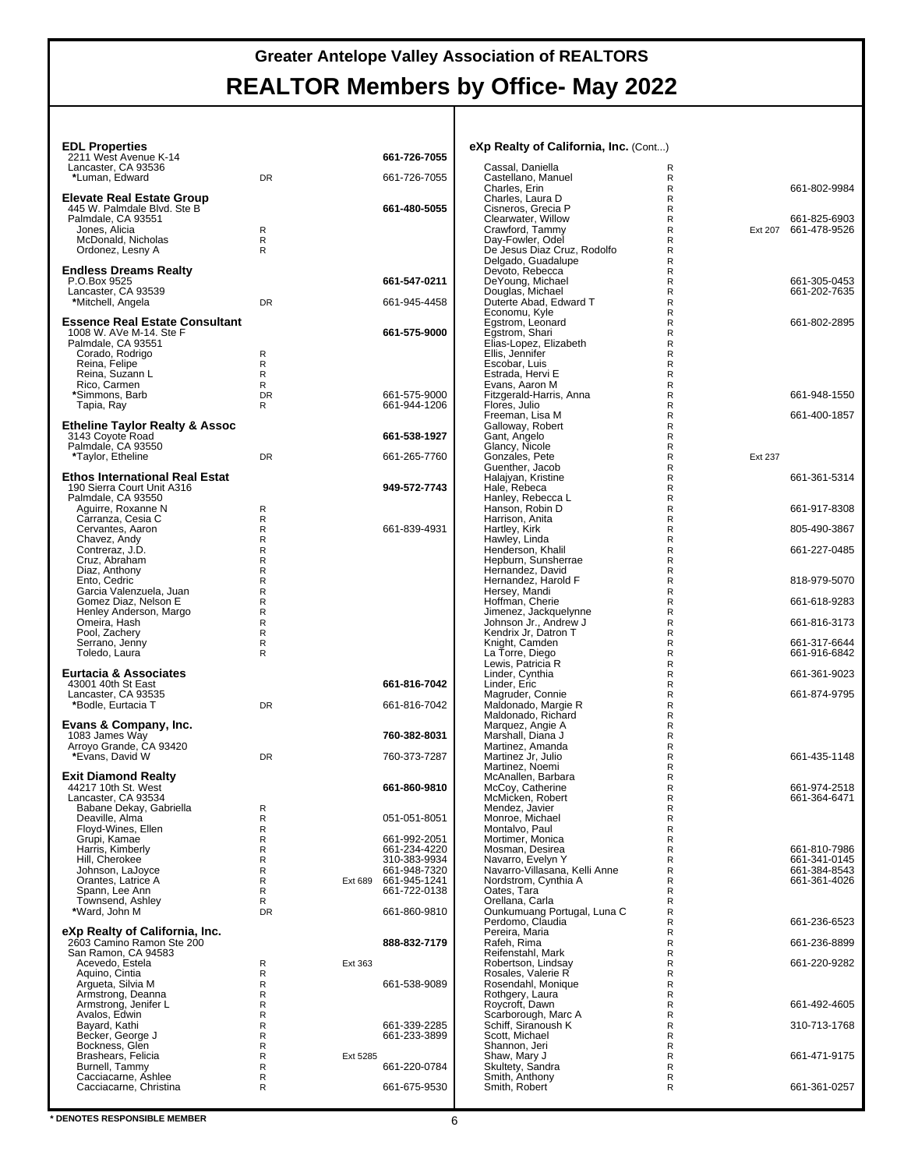| <b>EDL Properties</b><br>2211 West Avenue K-14                |           |          | 661-726-7055                 | eXp Realty of California, Inc. (Cont)           |              |         |                              |
|---------------------------------------------------------------|-----------|----------|------------------------------|-------------------------------------------------|--------------|---------|------------------------------|
| Lancaster, CA 93536                                           |           |          |                              | Cassal, Daniella                                | R            |         |                              |
| *Luman, Edward                                                | DR        |          | 661-726-7055                 | Castellano, Manuel<br>Charles, Erin             | R<br>R       |         | 661-802-9984                 |
| Elevate Real Estate Group<br>445 W. Palmdale Blvd. Ste B      |           |          | 661-480-5055                 | Charles, Laura D<br>Cisneros, Grecia P          | R<br>R       |         |                              |
| Palmdale, CA 93551                                            |           |          |                              | Clearwater, Willow                              | $\mathsf R$  |         | 661-825-6903                 |
| Jones, Alicia<br>McDonald, Nicholas                           | R<br>R    |          |                              | Crawford, Tammy<br>Day-Fowler, Odel             | R<br>R       |         | Ext 207 661-478-9526         |
| Ordonez, Lesny A                                              | R         |          |                              | De Jesus Diaz Cruz, Rodolfo                     | R            |         |                              |
| <b>Endless Dreams Realty</b>                                  |           |          |                              | Delgado, Guadalupe<br>Devoto, Rebecca           | R<br>R       |         |                              |
| P.O.Box 9525                                                  |           |          | 661-547-0211                 | DeYoung, Michael                                | R            |         | 661-305-0453                 |
| Lancaster, CA 93539<br>*Mitchell, Angela                      | DR        |          | 661-945-4458                 | Douglas, Michael<br>Duterte Abad, Edward T      | R<br>R       |         | 661-202-7635                 |
| <b>Essence Real Estate Consultant</b>                         |           |          |                              | Economu, Kyle<br>Egstrom, Leonard               | R<br>R       |         | 661-802-2895                 |
| 1008 W. AVe M-14. Ste F                                       |           |          | 661-575-9000                 | Egstrom, Shari                                  | R            |         |                              |
| Palmdale, CA 93551<br>Corado, Rodrigo                         | R         |          |                              | Elias-Lopez, Elizabeth<br>Ellis, Jennifer       | R<br>R       |         |                              |
| Reina, Felipe                                                 | R         |          |                              | Escobar, Luis                                   | R            |         |                              |
| Reina, Suzann L<br>Rico, Carmen                               | R<br>R    |          |                              | Estrada, Hervi E<br>Evans, Aaron M              | R<br>R       |         |                              |
| *Simmons, Barb                                                | <b>DR</b> |          | 661-575-9000                 | Fitzgerald-Harris, Anna                         | R            |         | 661-948-1550                 |
| Tapia, Ray                                                    | R         |          | 661-944-1206                 | Flores, Julio<br>Freeman, Lisa M                | R<br>R       |         | 661-400-1857                 |
| <b>Etheline Taylor Realty &amp; Assoc</b><br>3143 Coyote Road |           |          | 661-538-1927                 | Galloway, Robert<br>Gant, Angelo                | R<br>R       |         |                              |
| Palmdale, CA 93550                                            |           |          |                              | Glancy, Nicole                                  | R            |         |                              |
| *Taylor, Etheline                                             | <b>DR</b> |          | 661-265-7760                 | Gonzales, Pete<br>Guenther, Jacob               | R<br>R       | Ext 237 |                              |
| <b>Ethos International Real Estat</b>                         |           |          |                              | Halajyan, Kristine                              | R            |         | 661-361-5314                 |
| 190 Sierra Court Unit A316<br>Palmdale, CA 93550              |           |          | 949-572-7743                 | Hale, Rebeca<br>Hanley, Rebecca L               | R<br>R       |         |                              |
| Aquirre, Roxanne N                                            | R         |          |                              | Hanson, Robin D                                 | R            |         | 661-917-8308                 |
| Carranza, Cesia C<br>Cervantes, Aaron                         | R<br>R    |          | 661-839-4931                 | Harrison, Anita<br>Hartley, Kirk                | R<br>R       |         | 805-490-3867                 |
| Chavez, Andy<br>Contreraz. J.D.                               | R<br>R    |          |                              | Hawley, Linda<br>Henderson, Khalil              | R<br>R       |         | 661-227-0485                 |
| Cruz, Abraham                                                 | R         |          |                              | Hepburn, Sunsherrae                             | R            |         |                              |
| Diaz, Anthony<br>Ento, Cedric                                 | R<br>R    |          |                              | Hernandez, David<br>Hernandez, Harold F         | R<br>R       |         | 818-979-5070                 |
| Garcia Valenzuela, Juan                                       | R         |          |                              | Hersey, Mandi                                   | R            |         |                              |
| Gomez Diaz, Nelson E<br>Henley Anderson, Margo                | R<br>R    |          |                              | Hoffman, Cherie<br>Jimenez, Jackquelynne        | R<br>R       |         | 661-618-9283                 |
| Omeira, Hash                                                  | R         |          |                              | Johnson Jr., Andrew J                           | R            |         | 661-816-3173                 |
| Pool, Zachery<br>Serrano, Jenny                               | R<br>R    |          |                              | Kendrix Jr, Datron T<br>Knight, Camden          | R<br>R       |         | 661-317-6644                 |
| Toledo, Laura                                                 | R         |          |                              | La Torre, Diego<br>Lewis, Patricia R            | R<br>R       |         | 661-916-6842                 |
| <b>Eurtacia &amp; Associates</b>                              |           |          |                              | Linder, Cynthia                                 | R            |         | 661-361-9023                 |
| 43001 40th St East<br>Lancaster, CA 93535                     |           |          | 661-816-7042                 | Linder, Eric<br>Magruder, Connie                | R<br>R       |         | 661-874-9795                 |
| *Bodle, Eurtacia T                                            | DR        |          | 661-816-7042                 | Maldonado, Margie R                             | R            |         |                              |
| Evans & Company, Inc.                                         |           |          |                              | Maldonado, Richard<br>Marquez, Angie A          | R<br>R       |         |                              |
| 1083 James Way                                                |           |          | 760-382-8031                 | Marshall, Diana J                               | R            |         |                              |
| Arroyo Grande, CA 93420<br>*Evans, David W                    | DR        |          | 760-373-7287                 | Martinez, Amanda<br>Martinez Jr, Julio          | R<br>R       |         | 661-435-1148                 |
| <b>Exit Diamond Realty</b>                                    |           |          |                              | Martinez, Noemi<br>McAnallen, Barbara           | R<br>R       |         |                              |
| 44217 10th St. West                                           |           |          | 661-860-9810                 | McCoy, Catherine                                | $\mathsf{R}$ |         | 661-974-2518                 |
| Lancaster, CA 93534<br>Babane Dekay, Gabriella                | R         |          |                              | McMicken, Robert<br>Mendez, Javier              | R<br>R       |         | 661-364-6471                 |
| Deaville, Alma                                                | R         |          | 051-051-8051                 | Monroe, Michael                                 | R            |         |                              |
| Floyd-Wines, Ellen<br>Grupi, Kamae                            | R<br>R    |          | 661-992-2051                 | Montalvo, Paul<br>Mortimer, Monica              | R<br>R       |         |                              |
| Harris, Kimberly<br>Hill. Cherokee                            | R<br>R    |          | 661-234-4220<br>310-383-9934 | Mosman, Desirea<br>Navarro, Evelyn Y            | R<br>R       |         | 661-810-7986<br>661-341-0145 |
| Johnson, LaJoyce                                              | R         |          | 661-948-7320                 | Navarro-Villasana, Kelli Anne                   | R            |         | 661-384-8543                 |
| Orantes, Latrice A<br>Spann, Lee Ann                          | R<br>R    | Ext 689  | 661-945-1241<br>661-722-0138 | Nordstrom, Cynthia A<br>Oates, Tara             | R<br>R       |         | 661-361-4026                 |
| Townsend, Ashley                                              | R         |          |                              | Orellana, Carla                                 | R            |         |                              |
| *Ward, John M                                                 | <b>DR</b> |          | 661-860-9810                 | Ounkumuang Portugal, Luna C<br>Perdomo, Claudia | R<br>R       |         | 661-236-6523                 |
| eXp Realty of California, Inc.                                |           |          |                              | Pereira, Maria                                  | R            |         |                              |
| 2603 Camino Ramon Ste 200<br>San Ramon, CA 94583              |           |          | 888-832-7179                 | Rafeh, Rima<br>Reifenstahl, Mark                | R<br>R       |         | 661-236-8899                 |
| Acevedo, Estela<br>Aquino, Cintia                             | R<br>R    | Ext 363  |                              | Robertson, Lindsay<br>Rosales, Valerie R        | R<br>R       |         | 661-220-9282                 |
| Argueta, Silvia M                                             | R         |          | 661-538-9089                 | Rosendahl, Monique                              | R            |         |                              |
| Armstrong, Deanna<br>Armstrong, Jenifer L                     | R<br>R    |          |                              | Rothgery, Laura<br>Roycroft, Dawn               | R<br>R       |         | 661-492-4605                 |
| Avalos, Edwin                                                 | R         |          |                              | Scarborough, Marc A                             | R            |         |                              |
| Bayard, Kathi<br>Becker, George J                             | R<br>R    |          | 661-339-2285<br>661-233-3899 | Schiff, Siranoush K<br>Scott, Michael           | R<br>R       |         | 310-713-1768                 |
| Bockness, Glen                                                | R         |          |                              | Shannon, Jeri                                   | R            |         |                              |
| Brashears, Felicia<br>Burnell, Tammy                          | R<br>R    | Ext 5285 | 661-220-0784                 | Shaw, Mary J<br>Skultety, Sandra                | R<br>R       |         | 661-471-9175                 |
| Cacciacarne, Ashlee<br>Cacciacarne, Christina                 | R<br>R    |          | 661-675-9530                 | Smith, Anthony<br>Smith, Robert                 | R<br>R       |         | 661-361-0257                 |
|                                                               |           |          |                              |                                                 |              |         |                              |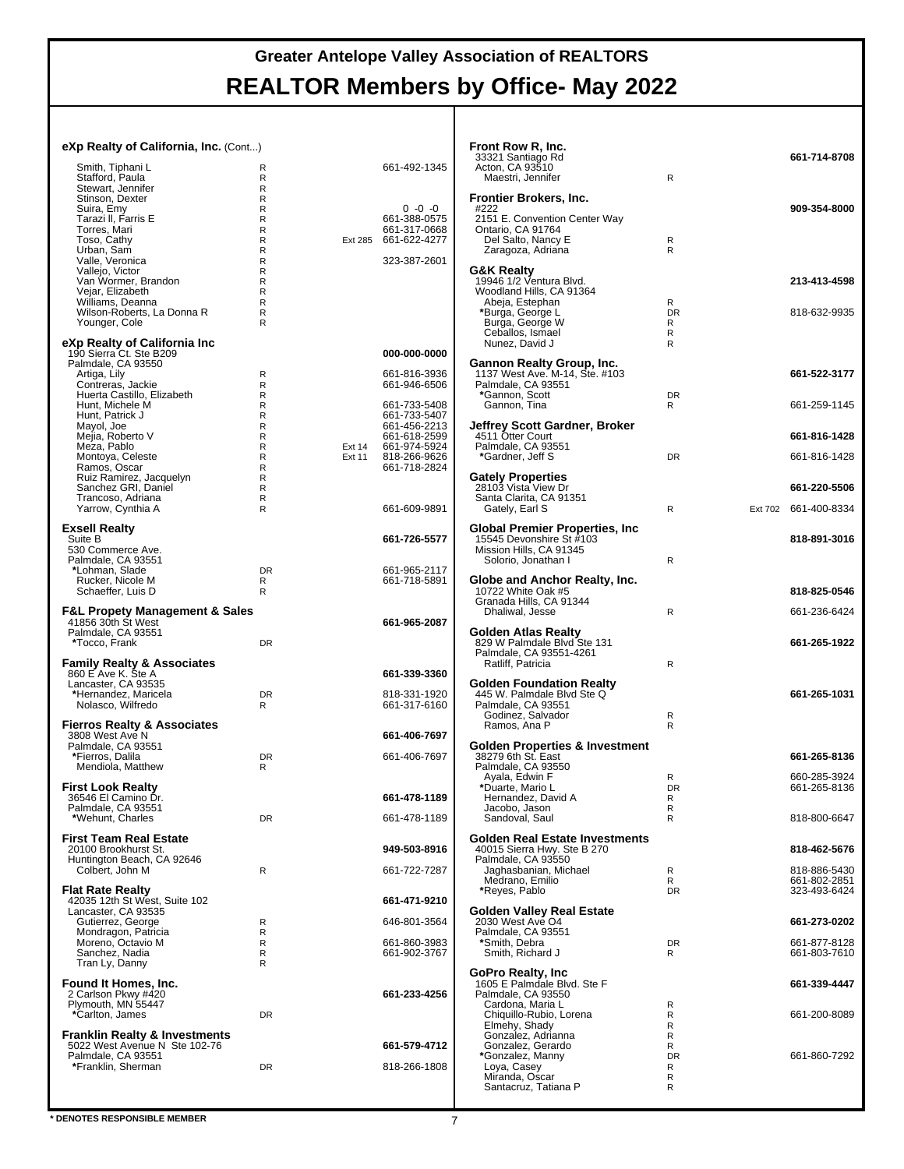| eXp Realty of California, Inc. (Cont)<br>Smith, Tiphani L                 | R                      | 661-492-1345                                 | Front Row R, Inc.<br>33321 Santiago Rd<br>Acton, CA 93510                           |                   | 661-714-8708                 |
|---------------------------------------------------------------------------|------------------------|----------------------------------------------|-------------------------------------------------------------------------------------|-------------------|------------------------------|
| Stafford, Paula<br>Stewart, Jennifer<br>Stinson, Dexter                   | R<br>R<br>R            |                                              | Maestri, Jennifer<br>Frontier Brokers, Inc.                                         | $\mathsf{R}$      |                              |
| Suira, Emy<br>Tarazi II, Farris E<br>Torres, Mari                         | R<br>R<br>$\mathsf{R}$ | $0 - 0 - 0$<br>661-388-0575<br>661-317-0668  | #222<br>2151 E. Convention Center Way<br>Ontario, CA 91764                          |                   | 909-354-8000                 |
| Toso, Cathy<br>Urban, Sam                                                 | R<br>R                 | Ext 285 661-622-4277                         | Del Salto, Nancy E<br>Zaragoza, Adriana                                             | R<br>R            |                              |
| Valle, Veronica<br>Vallejo, Victor<br>Van Wormer, Brandon                 | R<br>R<br>R            | 323-387-2601                                 | <b>G&amp;K Realty</b><br>19946 1/2 Ventura Blvd.                                    |                   | 213-413-4598                 |
| Vejar, Elizabeth<br>Williams, Deanna<br>Wilson-Roberts, La Donna R        | $\mathsf{R}$<br>R<br>R |                                              | Woodland Hills, CA 91364<br>Abeja, Estephan<br>*Burga, George L                     | R<br><b>DR</b>    | 818-632-9935                 |
| Younger, Cole<br>eXp Realty of California Inc                             | R                      |                                              | Burga, George W<br>Ceballos, Ismael<br>Nunez, David J                               | R<br>R<br>R       |                              |
| 190 Sierra Ct. Ste B209                                                   |                        | 000-000-0000                                 |                                                                                     |                   |                              |
| Palmdale, CA 93550<br>Artiga, Lily<br>Contreras, Jackie                   | R<br>R                 | 661-816-3936<br>661-946-6506                 | Gannon Realty Group, Inc.<br>1137 West Ave. M-14, Ste. #103<br>Palmdale, CA 93551   |                   | 661-522-3177                 |
| Huerta Castillo, Elizabeth<br>Hunt, Michele M<br>Hunt, Patrick J          | R<br>R<br>R            | 661-733-5408<br>661-733-5407                 | *Gannon, Scott<br>Gannon, Tina                                                      | <b>DR</b><br>R    | 661-259-1145                 |
| Mayol, Joe<br>Mejia, Roberto V<br>Meza, Pablo                             | R<br>R<br>R<br>Ext 14  | 661-456-2213<br>661-618-2599<br>661-974-5924 | <b>Jeffrey Scott Gardner, Broker</b><br>4511 Otter Court<br>Palmdale, CA 93551      |                   | 661-816-1428                 |
| Montoya, Celeste<br>Ramos, Oscar                                          | R<br>Ext 11<br>R       | 818-266-9626<br>661-718-2824                 | *Gardner, Jeff S                                                                    | <b>DR</b>         | 661-816-1428                 |
| Ruiz Ramirez, Jacquelyn<br>Sanchez GRI, Daniel<br>Trancoso, Adriana       | R<br>R<br>R            |                                              | <b>Gately Properties</b><br>28103 Vista View Dr<br>Santa Clarita, CA 91351          |                   | 661-220-5506                 |
| Yarrow, Cynthia A<br><b>Exsell Realty</b>                                 | R                      | 661-609-9891                                 | Gately, Earl S<br><b>Global Premier Properties, Inc.</b>                            | $\mathsf{R}$      | Ext 702 661-400-8334         |
| Suite B<br>530 Commerce Ave.<br>Palmdale, CA 93551                        |                        | 661-726-5577                                 | 15545 Devonshire St #103<br>Mission Hills, CA 91345<br>Solorio, Jonathan I          | $\mathsf{R}$      | 818-891-3016                 |
| *Lohman, Slade<br>Rucker, Nicole M<br>Schaeffer, Luis D                   | <b>DR</b><br>R<br>R    | 661-965-2117<br>661-718-5891                 | Globe and Anchor Realty, Inc.<br>10722 White Oak #5                                 |                   | 818-825-0546                 |
| <b>F&amp;L Propety Management &amp; Sales</b>                             |                        |                                              | Granada Hills, CA 91344<br>Dhaliwal, Jesse                                          | $\mathsf{R}$      | 661-236-6424                 |
| 41856 30th St West<br>Palmdale, CA 93551<br>*Tocco, Frank                 | DR                     | 661-965-2087                                 | Golden Atlas Realty<br>829 W Palmdale Blvd Ste 131                                  |                   | 661-265-1922                 |
| <b>Family Realty &amp; Associates</b><br>860 E Ave K. Ste A               |                        | 661-339-3360                                 | Palmdale, CA 93551-4261<br>Ratliff, Patricia                                        | $\mathsf{R}$      |                              |
| Lancaster, CA 93535<br>*Hernandez, Maricela<br>Nolasco, Wilfredo          | DR<br>R                | 818-331-1920<br>661-317-6160                 | <b>Golden Foundation Realty</b><br>445 W. Palmdale Blvd Ste Q<br>Palmdale, CA 93551 |                   | 661-265-1031                 |
| <b>Fierros Realty &amp; Associates</b><br>3808 West Ave N                 |                        | 661-406-7697                                 | Godinez, Salvador<br>Ramos, Ana P                                                   | R<br>$\mathsf{R}$ |                              |
| Palmdale, CA 93551<br>*Fierros, Dalila                                    | DR                     | 661-406-7697                                 | Golden Properties & Investment<br>38279 6th St. East                                |                   | 661-265-8136                 |
| Mendiola, Matthew<br><b>First Look Realty</b>                             | R                      |                                              | Palmdale, CA 93550<br>Ayala, Edwin F<br>Duarte, Mario L                             | R<br>DR           | 660-285-3924<br>661-265-8136 |
| 36546 El Camino Dr.<br>Palmdale, CA 93551<br>*Wehunt, Charles             | DR                     | 661-478-1189<br>661-478-1189                 | Hernandez, David A<br>Jacobo, Jason<br>Sandoval, Saul                               | R<br>R<br>R       | 818-800-6647                 |
| First Team Real Estate                                                    |                        |                                              | <b>Golden Real Estate Investments</b>                                               |                   |                              |
| 20100 Brookhurst St.<br>Huntington Beach, CA 92646<br>Colbert, John M     | R                      | 949-503-8916<br>661-722-7287                 | 40015 Sierra Hwy. Ste B 270<br>Palmdale, CA 93550<br>Jaghasbanian, Michael          | R                 | 818-462-5676<br>818-886-5430 |
| <b>Flat Rate Realty</b>                                                   |                        |                                              | Medrano, Emilio<br>*Reyes, Pablo                                                    | R<br><b>DR</b>    | 661-802-2851<br>323-493-6424 |
| 42035 12th St West, Suite 102<br>Lancaster, CA 93535<br>Gutierrez, George | R                      | 661-471-9210<br>646-801-3564                 | <b>Golden Valley Real Estate</b><br>2030 West Ave O4                                |                   | 661-273-0202                 |
| Mondragon, Patricia<br>Moreno, Octavio M                                  | R<br>R                 | 661-860-3983                                 | Palmdale, CA 93551<br>*Smith, Debra                                                 | <b>DR</b>         | 661-877-8128                 |
| Sanchez, Nadia<br>Tran Ly, Danny                                          | R<br>R                 | 661-902-3767                                 | Smith, Richard J<br>GoPro Realty, Inc.                                              | R                 | 661-803-7610                 |
| Found It Homes, Inc.<br>2 Carlson Pkwy #420<br>Plymouth, MN 55447         |                        | 661-233-4256                                 | 1605 E Palmdale Blvd. Ste F<br>Palmdale, CA 93550<br>Cardona, Maria L               | R                 | 661-339-4447                 |
| *Carlton, James<br><b>Franklin Realty &amp; Investments</b>               | DR                     |                                              | Chiquillo-Rubio, Lorena<br>Elmehy, Shady<br>Gonzalez, Adrianna                      | R<br>R<br>R       | 661-200-8089                 |
| 5022 West Avenue N Ste 102-76<br>Palmdale, CA 93551                       |                        | 661-579-4712                                 | Gonzalez, Gerardo<br>*Gonzalez, Manny                                               | R<br><b>DR</b>    | 661-860-7292                 |
| *Franklin, Sherman                                                        | DR                     | 818-266-1808                                 | Loya, Casey<br>Miranda, Oscar<br>Santacruz, Tatiana P                               | R<br>R<br>R       |                              |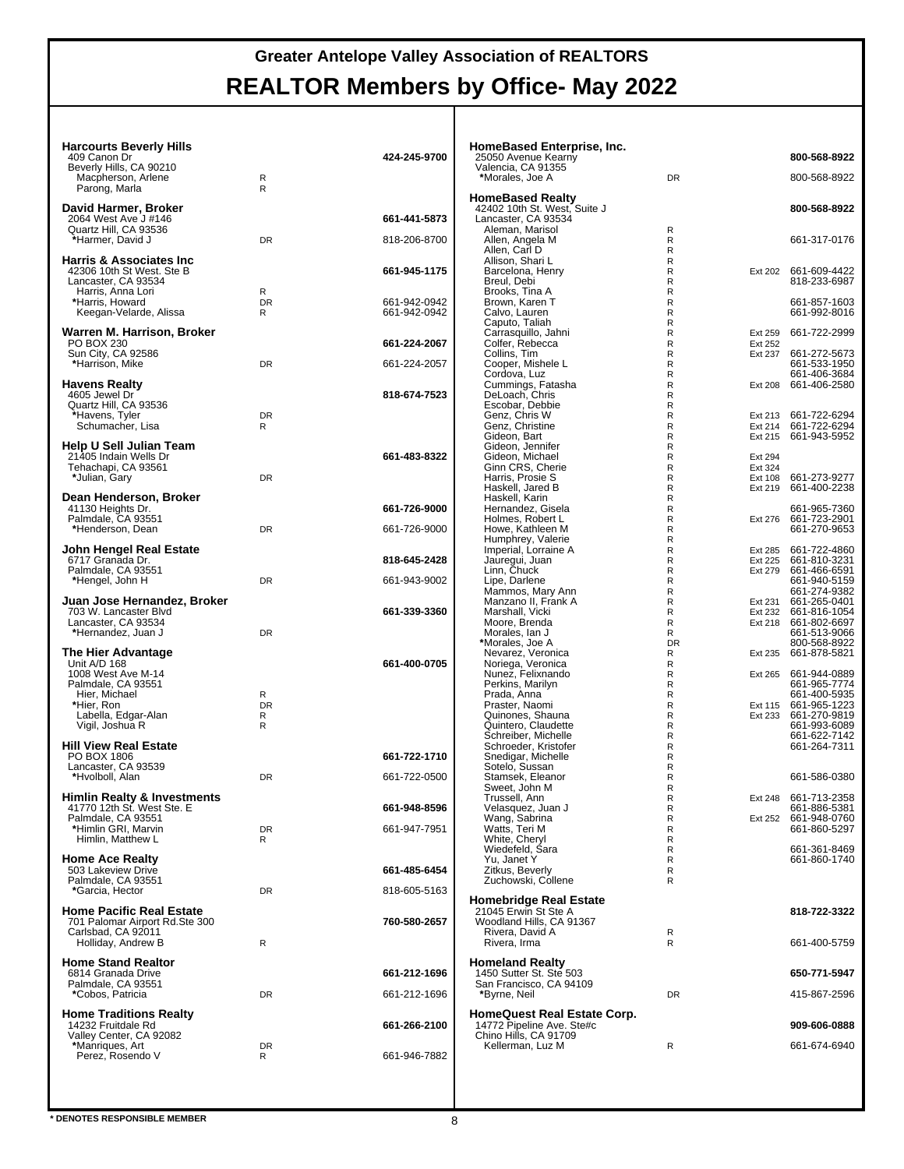| <b>Harcourts Beverly Hills</b><br>409 Canon Dr                       |                | 424-245-9700 | HomeBased Enterprise, Inc.<br>25050 Avenue Kearny     |                              |                    | 800-568-8922                                 |
|----------------------------------------------------------------------|----------------|--------------|-------------------------------------------------------|------------------------------|--------------------|----------------------------------------------|
| Beverly Hills, CA 90210                                              |                |              | Valencia, CA 91355                                    |                              |                    |                                              |
| Macpherson, Arlene<br>Parong, Marla                                  | R<br>R         |              | *Morales, Joe A                                       | <b>DR</b>                    |                    | 800-568-8922                                 |
|                                                                      |                |              | <b>HomeBased Realty</b>                               |                              |                    |                                              |
| David Harmer, Broker<br>2064 West Ave J #146                         |                | 661-441-5873 | 42402 10th St. West, Suite J<br>Lancaster, CA 93534   |                              |                    | 800-568-8922                                 |
| Quartz Hill, CA 93536                                                |                |              | Aleman, Marisol                                       | R                            |                    |                                              |
| *Harmer, David J                                                     | <b>DR</b>      | 818-206-8700 | Allen, Angela M<br>Allen, Carl D                      | R<br>$\mathsf{R}$            |                    | 661-317-0176                                 |
| <b>Harris &amp; Associates Inc</b>                                   |                |              | Allison, Shari L                                      | R                            |                    |                                              |
| 42306 10th St West. Ste B                                            |                | 661-945-1175 | Barcelona, Henry                                      | $\mathsf{R}$                 |                    | Ext 202 661-609-4422                         |
| Lancaster, CA 93534<br>Harris, Anna Lori                             | R              |              | Breul, Debi<br>Brooks, Tina A                         | R<br>$\mathsf{R}$            |                    | 818-233-6987                                 |
| *Harris, Howard                                                      | <b>DR</b>      | 661-942-0942 | Brown, Karen T                                        | $\mathsf{R}$                 |                    | 661-857-1603                                 |
| Keegan-Velarde, Alissa                                               | R              | 661-942-0942 | Calvo, Lauren<br>Caputo, Taliah                       | $\mathsf{R}$<br>$\mathsf{R}$ |                    | 661-992-8016                                 |
| Warren M. Harrison, Broker                                           |                |              | Carrasquillo, Jahni                                   | $\mathsf{R}$                 | Ext 259            | 661-722-2999                                 |
| PO BOX 230<br>Sun City, CA 92586                                     |                | 661-224-2067 | Colfer, Rebecca<br>Collins, Tim                       | $\mathsf{R}$<br>R            | Ext 252            | Ext 237 661-272-5673                         |
| *Harrison, Mike                                                      | DR             | 661-224-2057 | Cooper, Mishele L                                     | $\mathsf{R}$                 |                    | 661-533-1950                                 |
|                                                                      |                |              | Cordova, Luz                                          | $\mathsf{R}$                 |                    | 661-406-3684                                 |
| <b>Havens Realty</b><br>4605 Jewel Dr                                |                | 818-674-7523 | Cummings, Fatasha<br>DeLoach, Chris                   | $\mathsf{R}$<br>$\mathsf{R}$ |                    | Ext 208 661-406-2580                         |
| Quartz Hill, CA 93536                                                |                |              | Escobar, Debbie                                       | R                            |                    |                                              |
| *Havens, Tyler<br>Schumacher, Lisa                                   | <b>DR</b><br>R |              | Genz, Chris W<br>Genz, Christine                      | R<br>$\mathsf{R}$            |                    | Ext 213 661-722-6294<br>Ext 214 661-722-6294 |
|                                                                      |                |              | Gideon, Bart                                          | $\mathsf{R}$                 |                    | Ext 215 661-943-5952                         |
| Help U Sell Julian Team                                              |                | 661-483-8322 | Gideon, Jennifer                                      | $\mathsf{R}$                 |                    |                                              |
| 21405 Indain Wells Dr<br>Tehachapi, CA 93561                         |                |              | Gideon, Michael<br>Ginn CRS, Cherie                   | $\mathsf{R}$<br>R            | Ext 294<br>Ext 324 |                                              |
| *Julian, Gary                                                        | <b>DR</b>      |              | Harris, Prosie S                                      | R                            | Ext 108            | 661-273-9277                                 |
| Dean Henderson, Broker                                               |                |              | Haskell, Jared B<br>Haskell, Karin                    | $\mathsf{R}$<br>$\mathsf{R}$ |                    | Ext 219 661-400-2238                         |
| 41130 Heights Dr.                                                    |                | 661-726-9000 | Hernandez, Gisela                                     | $\mathsf{R}$                 |                    | 661-965-7360                                 |
| Palmdale, CA 93551                                                   |                |              | Holmes, Robert L                                      | $\mathsf{R}$                 |                    | Ext 276 661-723-2901<br>661-270-9653         |
| *Henderson, Dean                                                     | DR             | 661-726-9000 | Howe, Kathleen M<br>Humphrey, Valerie                 | R<br>R                       |                    |                                              |
| John Hengel Real Estate                                              |                |              | Imperial, Lorraine A                                  | $\mathsf{R}$                 |                    | Ext 285 661-722-4860                         |
| 6717 Granada Dr.<br>Palmdale, CA 93551                               |                | 818-645-2428 | Jauregui, Juan<br>Linn, Chuck                         | $\mathsf{R}$<br>$\mathsf{R}$ | Ext 225<br>Ext 279 | 661-810-3231<br>661-466-6591                 |
| *Hengel, John H                                                      | DR             | 661-943-9002 | Lipe, Darlene                                         | $\mathsf{R}$                 |                    | 661-940-5159                                 |
| Juan Jose Hernandez, Broker                                          |                |              | Mammos, Mary Ann<br>Manzano II, Frank A               | $\mathsf{R}$<br>R            |                    | 661-274-9382<br>Ext 231 661-265-0401         |
| 703 W. Lancaster Blvd                                                |                | 661-339-3360 | Marshall, Vicki                                       | R                            |                    | Ext 232 661-816-1054                         |
| Lancaster, CA 93534                                                  |                |              | Moore, Brenda                                         | R                            |                    | Ext 218 661-802-6697                         |
| *Hernandez, Juan J                                                   | <b>DR</b>      |              | Morales, Ian J<br>*Morales, Joe A                     | R<br><b>DR</b>               |                    | 661-513-9066<br>800-568-8922                 |
| The Hier Advantage                                                   |                |              | Nevarez, Veronica                                     | R                            |                    | Ext 235 661-878-5821                         |
| Unit A/D 168<br>1008 West Ave M-14                                   |                | 661-400-0705 | Noriega, Veronica<br>Nunez, Felixnando                | R<br>$\mathsf{R}$            |                    | Ext 265 661-944-0889                         |
| Palmdale, CA 93551                                                   |                |              | Perkins, Marilyn                                      | $\mathsf{R}$                 |                    | 661-965-7774                                 |
| Hier, Michael<br>*Hier, Ron                                          | R<br><b>DR</b> |              | Prada, Anna<br>Praster, Naomi                         | $\mathsf{R}$<br>$\mathsf{R}$ |                    | 661-400-5935<br>Ext 115 661-965-1223         |
| Labella, Edgar-Alan                                                  | R              |              | Quinones, Shauna                                      | $\mathsf{R}$                 |                    | Ext 233 661-270-9819                         |
| Vigil, Joshua R                                                      | R              |              | Quintero, Claudette<br>Schreiber, Michelle            | R<br>$\mathsf{R}$            |                    | 661-993-6089<br>661-622-7142                 |
| <b>Hill View Real Estate</b>                                         |                |              | Schroeder, Kristofer                                  | $\mathsf{R}$                 |                    | 661-264-7311                                 |
| PO BOX 1806                                                          |                | 661-722-1710 | Snedigar, Michelle                                    | $\mathsf{R}$                 |                    |                                              |
| Lancaster, CA 93539<br>*Hvolboll, Alan                               | <b>DR</b>      | 661-722-0500 | Sotelo, Sussan<br>Stamsek, Eleanor                    | $\mathsf{R}$<br>R            |                    | 661-586-0380                                 |
|                                                                      |                |              | Sweet, John M                                         | R                            |                    |                                              |
| <b>Himlin Realty &amp; Investments</b><br>41770 12th St. West Ste. E |                | 661-948-8596 | Trussell, Ann                                         | R<br>${\sf R}$               | Ext 248            | 661-713-2358<br>661-886-5381                 |
| Palmdale, CA 93551                                                   |                |              | Velasquez, Juan J<br>Wang, Sabrina                    | $\mathsf{R}$                 |                    | Ext 252 661-948-0760                         |
| *Himlin GRI, Marvin<br>Himlin. Matthew L                             | DR<br>R        | 661-947-7951 | Watts, Teri M<br>White, Cheryl                        | $\mathsf{R}$<br>R            |                    | 661-860-5297                                 |
|                                                                      |                |              | Wiedefeld, Sara                                       | R                            |                    | 661-361-8469                                 |
| <b>Home Ace Realty</b><br>503 Lakeview Drive                         |                | 661-485-6454 | Yu, Janet Y<br>Zitkus, Beverly                        | R<br>R                       |                    | 661-860-1740                                 |
| Palmdale, CA 93551                                                   |                |              | Zuchowski, Collene                                    | R                            |                    |                                              |
| *Garcia, Hector                                                      | DR             | 818-605-5163 |                                                       |                              |                    |                                              |
| <b>Home Pacific Real Estate</b>                                      |                |              | <b>Homebridge Real Estate</b><br>21045 Erwin St Ste A |                              |                    | 818-722-3322                                 |
| 701 Palomar Airport Rd.Ste 300                                       |                | 760-580-2657 | Woodland Hills, CA 91367                              |                              |                    |                                              |
| Carlsbad, CA 92011<br>Holliday, Andrew B                             | R              |              | Rivera, David A<br>Rivera, Irma                       | R<br>$\mathsf{R}$            |                    | 661-400-5759                                 |
|                                                                      |                |              |                                                       |                              |                    |                                              |
| <b>Home Stand Realtor</b><br>6814 Granada Drive                      |                | 661-212-1696 | <b>Homeland Realty</b><br>1450 Sutter St. Ste 503     |                              |                    | 650-771-5947                                 |
| Palmdale, CA 93551                                                   |                |              | San Francisco, CA 94109                               |                              |                    |                                              |
| *Cobos, Patricia                                                     | DR             | 661-212-1696 | *Byrne, Neil                                          | <b>DR</b>                    |                    | 415-867-2596                                 |
| <b>Home Traditions Realty</b>                                        |                |              | <b>HomeQuest Real Estate Corp.</b>                    |                              |                    |                                              |
| 14232 Fruitdale Rd                                                   |                | 661-266-2100 | 14772 Pipeline Ave. Ste#c                             |                              |                    | 909-606-0888                                 |
| Valley Center, CA 92082<br>*Manriques, Art                           | DR             |              | Chino Hills, CA 91709<br>Kellerman, Luz M             | R                            |                    | 661-674-6940                                 |
| Perez, Rosendo V                                                     | R              | 661-946-7882 |                                                       |                              |                    |                                              |
|                                                                      |                |              |                                                       |                              |                    |                                              |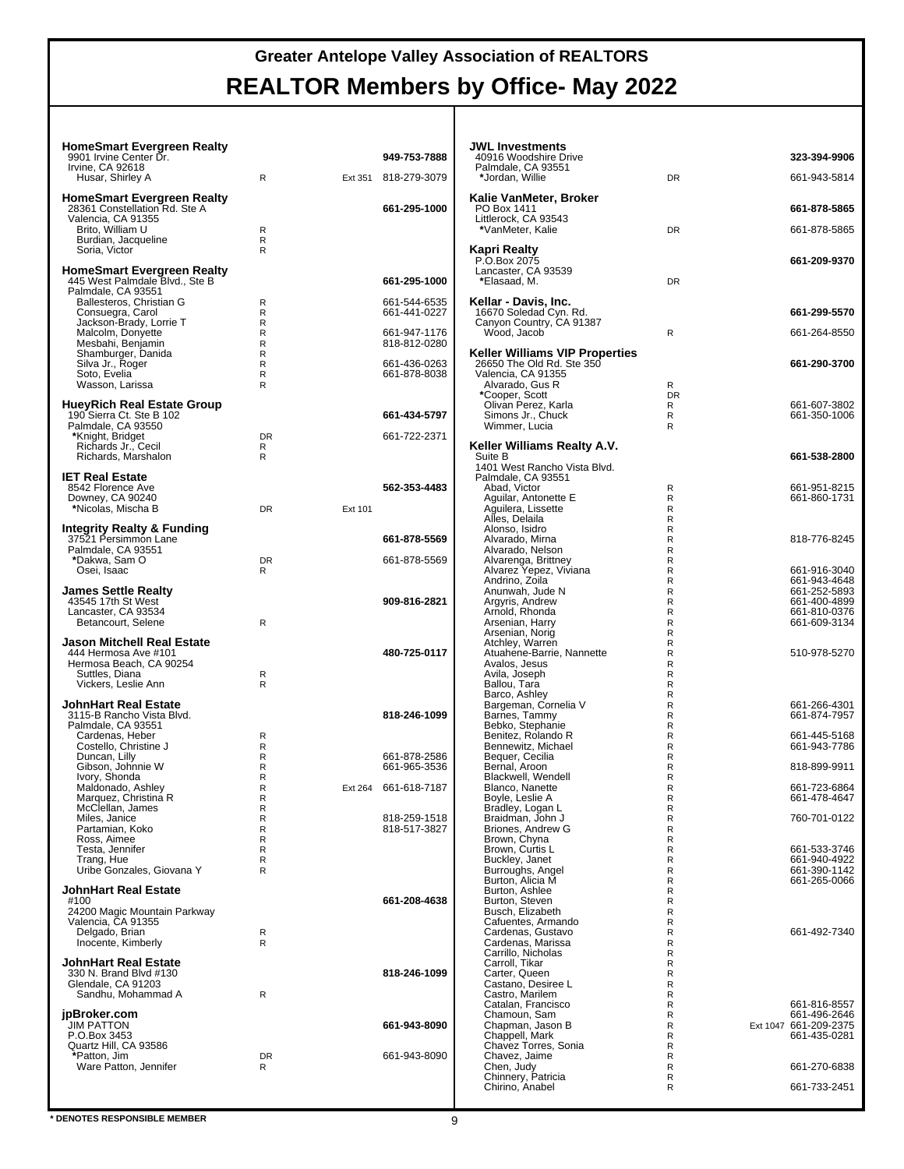| <b>HomeSmart Evergreen Realty</b><br>9901 Irvine Center Dr.<br>Irvine, CA 92618<br>Husar, Shirley A                                 | R                   | Ext 351 | 949-753-7888<br>818-279-3079 |
|-------------------------------------------------------------------------------------------------------------------------------------|---------------------|---------|------------------------------|
| <b>HomeSmart Evergreen Realty</b><br>28361 Constellation Rd. Ste A<br>Valencia, CA 91355<br>Brito, William U<br>Burdian, Jacqueline | R<br>R              |         | 661-295-1000                 |
| Soria, Victor<br><b>HomeSmart Evergreen Realty</b><br>445 West Palmdale Blvd., Ste B<br>Palmdale, CA 93551                          | R                   |         | 661-295-1000                 |
| Ballesteros, Christian G<br>Consuegra, Carol<br>Jackson-Brady, Lorrie T                                                             | R<br>R<br>R         |         | 661-544-6535<br>661-441-0227 |
| Malcolm, Donyette<br>Mesbahi, Benjamin<br>Shamburger, Danida                                                                        | R<br>R<br>R         |         | 661-947-1176<br>818-812-0280 |
| Silva Jr., Roger<br>Soto, Evelia<br>Wasson, Larissa                                                                                 | R<br>R<br>R         |         | 661-436-0263<br>661-878-8038 |
| HueyRich Real Estate Group<br>190 Sierra Ct. Ste B 102                                                                              |                     |         | 661-434-5797                 |
| Palmdale, CA 93550<br>*Knight, Bridget<br>Richards Jr., Cecil<br>Richards, Marshalon                                                | <b>DR</b><br>R<br>R |         | 661-722-2371                 |
| <b>IET Real Estate</b><br>8542 Florence Ave<br>Downey, CA 90240                                                                     |                     |         | 562-353-4483                 |
| *Nicolas, Mischa B                                                                                                                  | <b>DR</b>           | Ext 101 |                              |
| Integrity Realty & Funding<br>37521 Persimmon Lane<br>Palmdale, CA 93551                                                            |                     |         | 661-878-5569                 |
| *Dakwa, Sam O<br>Osei, Isaac                                                                                                        | <b>DR</b><br>R      |         | 661-878-5569                 |
| <b>James Settle Realty</b><br>43545 17th St West<br>Lancaster, CA 93534<br>Betancourt, Selene                                       | R                   |         | 909-816-2821                 |
| Jason Mitchell Real Estate<br>444 Hermosa Ave #101<br>Hermosa Beach, CA 90254<br>Suttles, Diana                                     | R                   |         | 480-725-0117                 |
| Vickers, Leslie Ann<br>JohnHart Real Estate                                                                                         | R                   |         |                              |
| 3115-B Rancho Vista Blvd.<br>Palmdale, CA 93551<br>Cardenas, Heber                                                                  | R                   |         | 818-246-1099                 |
| Costello, Christine J<br>Duncan, Lilly<br>Gibson, Johnnie W                                                                         | R<br>R<br>R         |         | 661-878-2586<br>661-965-3536 |
| Ivory, Shonda<br>Maldonado, Ashley<br>Marquez, Christina R<br>McClellan, James                                                      | R<br>R<br>R<br>R    |         | Ext 264 661-618-7187         |
| Miles, Janice<br>Partamian, Koko<br>Ross, Aimee                                                                                     | R<br>R<br>R         |         | 818-259-1518<br>818-517-3827 |
| Testa, Jennifer<br>Trang, Hue<br>Uribe Gonzales, Giovana Y                                                                          | R<br>R<br>R         |         |                              |
| <b>JohnHart Real Estate</b><br>#100                                                                                                 |                     |         | 661-208-4638                 |
| 24200 Magic Mountain Parkway<br>Valencia, CA 91355<br>Delgado, Brian<br>Inocente, Kimberly                                          | R<br>R              |         |                              |
| JohnHart Real Estate<br>330 N. Brand Blvd #130<br>Glendale, CA 91203<br>Sandhu, Mohammad A                                          | R                   |         | 818-246-1099                 |
| jpBroker.com<br><b>JIM PATTON</b>                                                                                                   |                     |         | 661-943-8090                 |
| P.O.Box 3453<br>Quartz Hill, CA 93586<br>*Patton, Jim<br>Ware Patton, Jennifer                                                      | DR<br>R             |         | 661-943-8090                 |
|                                                                                                                                     |                     |         |                              |

| JWL Investments<br>40916 Woodshire Drive                    |                | 323-394-9906                 |
|-------------------------------------------------------------|----------------|------------------------------|
| Palmdale, CA 93551<br>*Jordan, Willie                       | <b>DR</b>      | 661-943-5814                 |
| Kalie VanMeter, Broker                                      |                |                              |
| PO Box 1411<br>Littlerock, CA 93543                         |                | 661-878-5865                 |
| *VanMeter, Kalie                                            | <b>DR</b>      | 661-878-5865                 |
| Kapri Realty<br>P.O.Box 2075                                |                | 661-209-9370                 |
| Lancaster, CA 93539<br>*Elasaad, M.                         | DR             |                              |
| Kellar - Davis, Inc.                                        |                |                              |
| 16670 Soledad Cyn. Rd.<br>Canyon Country, CA 91387          |                | 661-299-5570                 |
| Wood, Jacob                                                 | R              | 661-264-8550                 |
| Keller Williams VIP Properties<br>26650 The Old Rd. Ste 350 |                | 661-290-3700                 |
| Valencia, CA 91355<br>Alvarado, Gus R                       | R              |                              |
| *Cooper, Scott<br>Olivan Perez, Karla                       | <b>DR</b><br>R | 661-607-3802                 |
| Simons Jr., Chuck                                           | R              | 661-350-1006                 |
| Wimmer, Lucia                                               | R              |                              |
| Keller Williams Realty A.V.<br>Suite B                      |                | 661-538-2800                 |
| 1401 West Rancho Vista Blvd.                                |                |                              |
| Palmdale, CA 93551<br>Abad, Victor                          | R              | 661-951-8215                 |
| Aguilar, Antonette E                                        | R              | 661-860-1731                 |
| Ağuilera, Lissette<br>Alles, Delaila                        | R<br>R         |                              |
| Alonso, Isidro                                              | R              |                              |
| Alvarado, Mirna<br>Alvarado, Nelson                         | R<br>R         | 818-776-8245                 |
| Alvarenga, Brittney                                         | R              |                              |
| Alvarez Yepez, Viviana<br>Andrino, Zoila                    | R<br>R         | 661-916-3040<br>661-943-4648 |
| Anunwah, Jude N                                             | R              | 661-252-5893                 |
| Argyris, Andrew<br>Arnold, Rhonda                           | R<br>R         | 661-400-4899<br>661-810-0376 |
| Arsenian, Harry                                             | R              | 661-609-3134                 |
| Arsenian, Norig                                             | R<br>R         |                              |
| Atchley, Warren<br>Atuahene-Barrie, Nannette                | R              | 510-978-5270                 |
| Avalos, Jesus                                               | R              |                              |
| Avila, Joseph<br>Ballou, Tara                               | R<br>R         |                              |
| Barco, Ashley                                               | R              |                              |
| Bargeman, Cornelia V<br>Barnes, Tammy                       | R<br>R         | 661-266-4301<br>661-874-7957 |
| Bebko, Stephanie                                            | R              |                              |
| Benitez, Rolando R<br>Bennewitz, Michael                    | R<br>R         | 661-445-5168<br>661-943-7786 |
| Bequer, Cecilia                                             | R              |                              |
| Bernal, Aroon<br>Blackwell, Wendell                         | R<br>R         | 818-899-9911                 |
| Blanco, Nanette                                             | R              | 661-723-6864                 |
| Boyle, Leslie A                                             | R<br>R         | 661-478-4647                 |
| Bradley, Logan L<br>Braidman, John J                        | R              | 760-701-0122                 |
| Briones, Andrew G                                           | R              |                              |
| Brown, Chyna<br>Brown, Curtis L                             | R<br>R         | 661-533-3746                 |
| Buckley, Janet                                              | R              | 661-940-4922                 |
| Burroughs, Angel<br>Burton, Alicia M                        | R<br>R         | 661-390-1142<br>661-265-0066 |
| Burton, Ashlee                                              | R              |                              |
| Burton, Steven<br>Busch, Elizabeth                          | R<br>R         |                              |
| Cafuentes, Armando                                          | R              |                              |
| Cardenas, Gustavo<br>Cardenas, Marissa                      | R<br>R         | 661-492-7340                 |
| Carrillo, Nicholas                                          | R              |                              |
| Carroll, Tikar<br>Carter, Queen                             | R<br>R         |                              |
| Castano, Desiree L                                          | R              |                              |
| Castro, Marilem                                             | R              |                              |
| Catalan, Francisco<br>Chamoun, Sam                          | R<br>R         | 661-816-8557<br>661-496-2646 |
| Chapman, Jason B<br>Chappell, Mark                          | R              | Ext 1047 661-209-2375        |
| Chavez Torres, Sonia                                        | R<br>R         | 661-435-0281                 |
| Chavez, Jaime                                               | R              |                              |
| Chen, Judy<br>Chinnery, Patricia                            | R<br>R         | 661-270-6838                 |
| Chirino, Anabel                                             | R              | 661-733-2451                 |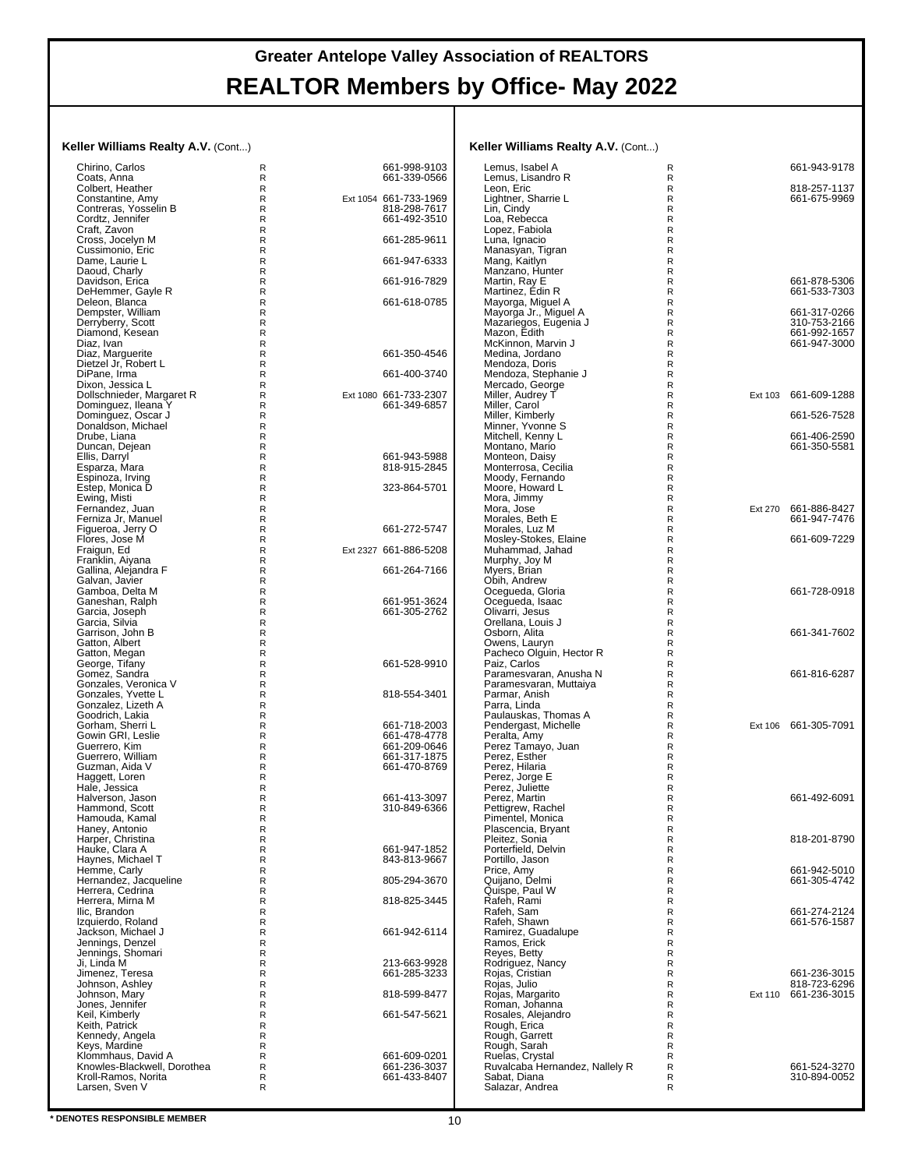#### **Keller Williams Realty A.V.** (Cont...)

| Keller Williams Realty A.V. (Cont)                 |                   |                              | Keller Williams Realty A.V. (Cont)             |                            |         |                              |
|----------------------------------------------------|-------------------|------------------------------|------------------------------------------------|----------------------------|---------|------------------------------|
| Chirino, Carlos                                    | R                 | 661-998-9103                 | Lemus, Isabel A                                | R                          |         | 661-943-9178                 |
| Coats, Anna                                        | R                 | 661-339-0566                 | Lemus. Lisandro R                              | R                          |         |                              |
| Colbert, Heather<br>Constantine, Amy               | $\mathsf{R}$<br>R | Ext 1054 661-733-1969        | Leon, Eric<br>Lightner, Sharrie L              | R<br>$\mathsf R$           |         | 818-257-1137<br>661-675-9969 |
| Contreras, Yosselin B                              | R                 | 818-298-7617                 | Lin, Cindy                                     | $\mathsf R$                |         |                              |
| Cordtz, Jennifer                                   | R                 | 661-492-3510                 | Loa, Rebecca                                   | $\mathsf R$                |         |                              |
| Craft, Zavon                                       | R                 |                              | Lopez, Fabiola                                 | $\mathsf R$                |         |                              |
| Cross, Jocelyn M<br>Cussimonio, Eric               | R<br>R            | 661-285-9611                 | Luna, Ignacio<br>Manasyan, Tigran              | R<br>R                     |         |                              |
| Dame, Laurie L                                     | R                 | 661-947-6333                 | Mang, Kaitlyn                                  | $\mathsf R$                |         |                              |
| Daoud, Charly                                      | R                 |                              | Manzano, Hunter                                | $\mathsf R$                |         |                              |
| Davidson, Erica                                    | R                 | 661-916-7829                 | Martin, Ray E                                  | $\mathsf R$                |         | 661-878-5306                 |
| DeHemmer, Gayle R<br>Deleon, Blanca                | R<br>R            | 661-618-0785                 | Martinez, Édin R<br>Mayorga, Miguel A          | $\mathsf R$<br>$\mathsf R$ |         | 661-533-7303                 |
| Dempster, William                                  | R                 |                              | Mayorga Jr., Miguel A                          | R                          |         | 661-317-0266                 |
| Derryberry, Scott                                  | R                 |                              | Mazariegos, Eugenia J<br>Mazon, Edith          | $\mathsf R$                |         | 310-753-2166                 |
| Diamond, Kesean                                    | R                 |                              |                                                | $\mathsf R$                |         | 661-992-1657                 |
| Diaz, Ivan<br>Diaz, Marguerite                     | R<br>R            | 661-350-4546                 | McKinnon, Marvin J<br>Medina, Jordano          | R<br>$\mathsf R$           |         | 661-947-3000                 |
| Dietzel Jr, Robert L                               | R                 |                              | Mendoza, Doris                                 | R                          |         |                              |
| DiPane, Irma                                       | R                 | 661-400-3740                 | Mendoza, Stephanie J                           | R                          |         |                              |
| Dixon, Jessica L<br>Dollschnieder, Margaret R      | R<br>R            | Ext 1080 661-733-2307        | Mercado, George<br>Miller, Audrey T            | $\mathsf R$<br>$\mathsf R$ | Ext 103 | 661-609-1288                 |
| Dominguez, Ileana Y                                | R                 | 661-349-6857                 | Miller, Carol                                  | R                          |         |                              |
| Dominguez, Oscar J                                 | R                 |                              | Miller, Kimberly                               | $\mathsf R$                |         | 661-526-7528                 |
| Donaldson, Michael                                 | R                 |                              | Minner, Yvonne S                               | R                          |         |                              |
| Drube, Liana<br>Duncan, Dejean                     | R<br>R            |                              | Mitchell, Kenny L<br>Montano, Mario            | R<br>$\mathsf R$           |         | 661-406-2590<br>661-350-5581 |
| Ellis, Darryl                                      | R                 | 661-943-5988                 | Monteon, Daisy                                 | $\mathsf R$                |         |                              |
| Esparza, Mara                                      | R                 | 818-915-2845                 | Monterrosa, Cecilia                            | $\mathsf R$                |         |                              |
| Espinoza, Irving<br>Estep, Monica D                | R<br>R            | 323-864-5701                 | Moody, Fernando<br>Moore, Howard L             | $\mathsf R$<br>R           |         |                              |
| Ewing, Misti                                       | R                 |                              | Mora, Jimmy                                    | R                          |         |                              |
| Fernandez, Juan                                    | R                 |                              | Mora, Jose                                     | $\mathsf R$                | Ext 270 | 661-886-8427                 |
| Ferniza Jr, Manuel                                 | R                 |                              | Morales, Beth E                                | R                          |         | 661-947-7476                 |
| Figueroa, Jerry O<br>Flores, Jose M                | R<br>R            | 661-272-5747                 | Morales, Luz M<br>Mosley-Stokes, Elaine        | R<br>$\mathsf R$           |         | 661-609-7229                 |
| Fraigun, Ed                                        | R                 | Ext 2327 661-886-5208        | Muhammad, Jahad                                | $\mathsf R$                |         |                              |
| Franklin, Aiyana                                   | R                 |                              | Murphy, Joy M                                  | R                          |         |                              |
| Gallina, Alejandra F<br>Galvan, Javier             | R<br>R            | 661-264-7166                 | Myers, Brian<br>Obih, Andrew                   | $\mathsf R$<br>$\mathsf R$ |         |                              |
| Gamboa, Delta M                                    | R                 |                              | Ocegueda, Gloria                               | $\mathsf R$                |         | 661-728-0918                 |
| Ganeshan, Ralph                                    | R                 | 661-951-3624                 | Ocegueda, Isaac                                | $\mathsf R$                |         |                              |
| Garcia, Joseph                                     | R                 | 661-305-2762                 | Olivarri, Jesus                                | R                          |         |                              |
| Garcia, Silvia<br>Garrison, John B                 | R<br>R            |                              | Orellana, Louis J<br>Osborn, Alita             | R<br>$\mathsf R$           |         | 661-341-7602                 |
| Gatton, Albert                                     | R                 |                              | Owens, Lauryn                                  | R                          |         |                              |
| Gatton, Megan                                      | R                 |                              | Pacheco Olguin, Hector R                       | R                          |         |                              |
| George, Tifany<br>Gomez, Sandra                    | R<br>R            | 661-528-9910                 | Paiz, Carlos<br>Paramesvaran, Anusha N         | $\mathsf R$<br>$\mathsf R$ |         | 661-816-6287                 |
| Gonzales, Veronica V                               | R                 |                              | Paramesvaran, Muttaiya                         | R                          |         |                              |
| Gonzales, Yvette L                                 | R                 | 818-554-3401                 | Parmar, Anish                                  | $\mathsf R$                |         |                              |
| Gonzalez, Lizeth A<br>Goodrich, Lakia              | R<br>R            |                              | Parra, Linda<br>Paulauskas, Thomas A           | R<br>R                     |         |                              |
| Gorham, Sherri L                                   | R                 | 661-718-2003                 | Pendergast, Michelle                           | $\mathsf R$                |         | Ext 106 661-305-7091         |
| Gowin GRI, Leslie                                  | R                 | 661-478-4778                 | Peralta, Amy                                   | R                          |         |                              |
| Guerrero, Kim<br>Guerrero, William                 | R<br>R            | 661-209-0646<br>661-317-1875 | Perez Tamayo, Juan<br>Perez, Esther            | R<br>$\mathsf R$           |         |                              |
| Guzman, Aida V                                     | R                 | 661-470-8769                 | Perez, Hilaria                                 | R                          |         |                              |
| Haggett, Loren                                     | R                 |                              | Perez, Jorge E                                 | $\mathsf R$                |         |                              |
| Hale, Jessica                                      | R                 |                              | Perez, Juliette                                | R                          |         |                              |
| Halverson, Jason<br>Hammond, Scott                 | R<br>R            | 661-413-3097<br>310-849-6366 | Perez. Martin<br>Pettigrew, Rachel             | R<br>R                     |         | 661-492-6091                 |
| Hamouda, Kamal                                     | $\mathsf R$       |                              | Pimentel, Monica                               | $\mathsf R$                |         |                              |
| Haney, Antonio                                     | R                 |                              | Plascencia, Bryant                             | $\mathsf R$                |         |                              |
| Harper, Christina<br>Hauke, Clara A                | R<br>R            | 661-947-1852                 | Pleitez, Sonia<br>Porterfield, Delvin          | R<br>$\mathsf R$           |         | 818-201-8790                 |
| Haynes, Michael T                                  | R                 | 843-813-9667                 | Portillo, Jason                                | R                          |         |                              |
| Hemme, Carly                                       | R                 |                              | Price, Amy                                     | R                          |         | 661-942-5010                 |
| Hernandez, Jacqueline                              | R                 | 805-294-3670                 | Quijano, Delmi                                 | $\mathsf R$                |         | 661-305-4742                 |
| Herrera, Cedrina<br>Herrera, Mirna M               | R<br>R            | 818-825-3445                 | Quispe, Paul W<br>Rafeh, Rami                  | $\mathsf R$<br>R           |         |                              |
| Ilic, Brandon                                      | R                 |                              | Rafeh, Sam                                     | $\mathsf R$                |         | 661-274-2124                 |
| Izquierdo, Roland                                  | R                 |                              | Rafeh, Shawn                                   | $\mathsf R$                |         | 661-576-1587                 |
| Jackson, Michael J<br>Jennings, Denzel             | R<br>R            | 661-942-6114                 | Ramirez, Guadalupe<br>Ramos, Erick             | R<br>$\mathsf R$           |         |                              |
| Jennings, Shomari                                  | R                 |                              | Reyes, Betty                                   | $\mathsf R$                |         |                              |
| Ji. Linda M                                        | R                 | 213-663-9928                 | Rodriguez, Nancy                               | R                          |         |                              |
| Jimenez, Teresa<br>Johnson, Ashley                 | R<br>R            | 661-285-3233                 | Rojas, Cristian<br>Rojas, Julio                | $\mathsf R$<br>R           |         | 661-236-3015<br>818-723-6296 |
| Johnson, Mary                                      | R                 | 818-599-8477                 | Rojas, Margarito                               | R                          |         | Ext 110 661-236-3015         |
| Jones, Jennifer                                    | R                 |                              | Roman, Johanna                                 | R                          |         |                              |
| Keil, Kimberly                                     | R                 | 661-547-5621                 | Rosales, Alejandro                             | R                          |         |                              |
| Keith, Patrick<br>Kennedy, Angela                  | R<br>R            |                              | Rough, Erica<br>Rough, Garrett                 | R<br>$\mathsf R$           |         |                              |
| Keys, Mardine                                      | R                 |                              | Rough, Sarah                                   | R                          |         |                              |
| Klommhaus, David A                                 | R                 | 661-609-0201                 | Ruelas, Crystal                                | R                          |         |                              |
| Knowles-Blackwell, Dorothea<br>Kroll-Ramos, Norita | R<br>R            | 661-236-3037<br>661-433-8407 | Ruvalcaba Hernandez, Nallely R<br>Sabat, Diana | R<br>R                     |         | 661-524-3270<br>310-894-0052 |
| Larsen, Sven V                                     | R                 |                              | Salazar, Andrea                                | R                          |         |                              |
|                                                    |                   |                              |                                                |                            |         |                              |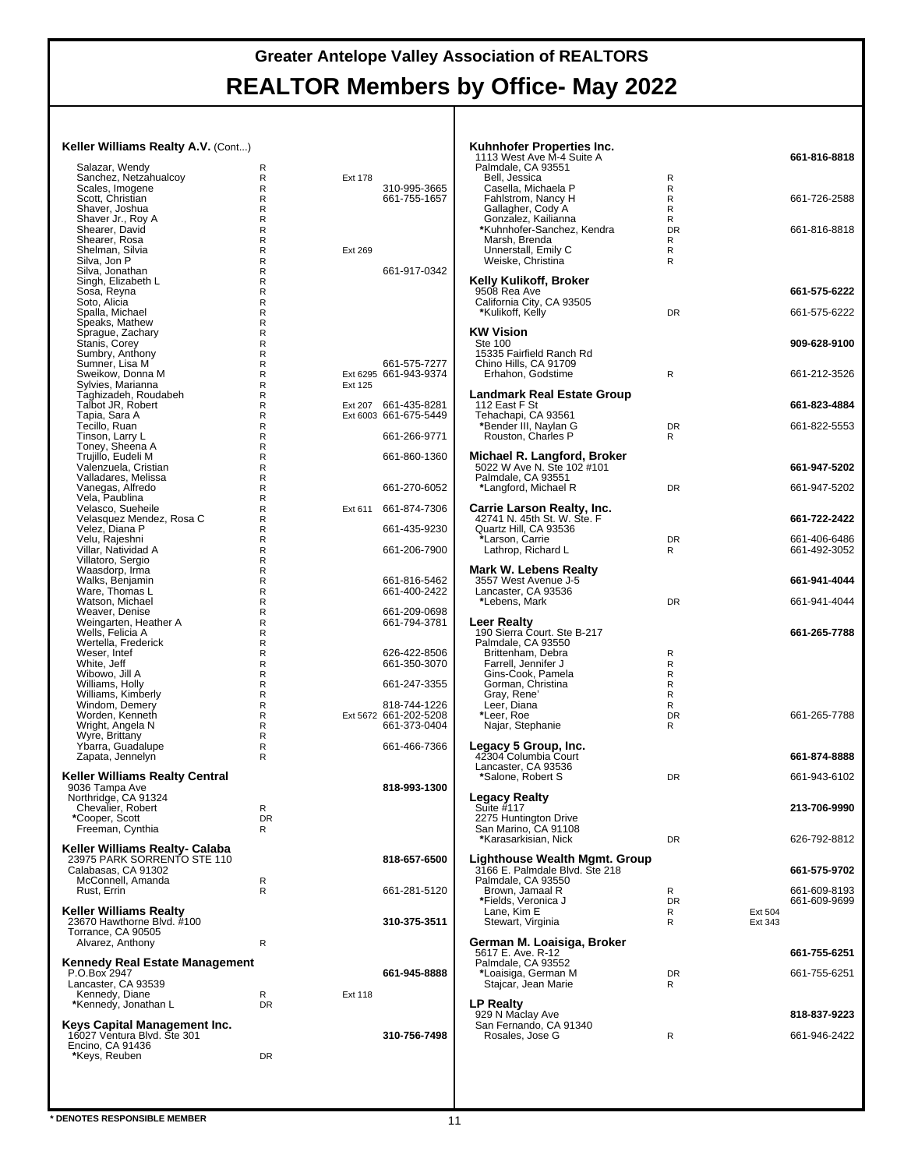#### **Keller Williams Realty A.V.** (Cont...)

| Salazar, Wendy                                  | R                |         |                                       |
|-------------------------------------------------|------------------|---------|---------------------------------------|
| Sanchez, Netzahualcoy                           | R                | Ext 178 |                                       |
| Scales, Imogene                                 | R                |         | 310-995-3665                          |
| Scott, Christian<br>Shaver, Joshua              | R<br>R           |         | 661-755-1657                          |
| Shaver Jr., Roy A                               | R                |         |                                       |
| Shearer, David                                  | R                |         |                                       |
| Shearer, Rosa                                   | R                |         |                                       |
| Shelman, Silvia<br>Silva, Jon P                 | R<br>R           | Ext 269 |                                       |
| Silva, Jonathan                                 | R                |         | 661-917-0342                          |
| Singh, Elizabeth L                              | R                |         |                                       |
| Sosa, Reyna                                     | R                |         |                                       |
| Soto, Alicia                                    | R                |         |                                       |
| Spalla, Michael<br>Speaks, Mathew               | R<br>R           |         |                                       |
| Sprague, Zachary                                | R                |         |                                       |
| Stanis, Corey                                   | R                |         |                                       |
| Sumbry, Anthony                                 | R                |         |                                       |
| Sumner, Lisa M                                  | R                |         | 661-575-7277                          |
| Sweikow, Donna M<br>Sylvies, Marianna           | R<br>R           | Ext 125 | Ext 6295 661-943-9374                 |
| Taghizadeh, Roudabeh                            | R                |         |                                       |
| Talbot JR, Robert                               | R                | Ext 207 | 661-435-8281                          |
| Tapia, Sara A                                   | R                |         | Ext 6003 661-675-5449                 |
| Tecillo, Ruan                                   | R                |         |                                       |
| Tinson, Larry L                                 | R<br>R           |         | 661-266-9771                          |
| Toney, Sheena A<br>Trujillo, Eudeli M           | R                |         | 661-860-1360                          |
| Valenzuela, Cristian                            | R                |         |                                       |
| Valladares, Melissa                             | R                |         |                                       |
| Vanegas, Alfredo                                | R                |         | 661-270-6052                          |
| Vela, Paublina                                  | R                |         |                                       |
| Velasco, Sueheile<br>Velasquez Mendez, Rosa C   | $\mathsf R$<br>R | Ext 611 | 661-874-7306                          |
| Velez, Diana P                                  | R                |         | 661-435-9230                          |
| Velu, Rajeshni                                  | R                |         |                                       |
| Villar, Natividad A                             | R                |         | 661-206-7900                          |
| Villatoro, Sergio                               | R                |         |                                       |
| Waasdorp, Irma<br>Walks, Benjamin               | R<br>R           |         | 661-816-5462                          |
| Ware, Thomas L                                  | R                |         | 661-400-2422                          |
| Watson, Michael                                 | R                |         |                                       |
| Weaver, Denise                                  | R                |         | 661-209-0698                          |
| Weingarten, Heather A                           | R                |         | 661-794-3781                          |
| Wells, Felicia A                                | R                |         |                                       |
| Wertella, Frederick<br>Weser, Intef             | R<br>R           |         | 626-422-8506                          |
| White, Jeff                                     | R                |         | 661-350-3070                          |
| Wibowo, Jill A                                  | R                |         |                                       |
| Williams, Holly                                 | R                |         | 661-247-3355                          |
| Williams, Kimberly                              | R                |         |                                       |
| Windom, Demery<br>Worden, Kenneth               | R<br>R           |         | 818-744-1226<br>Ext 5672 661-202-5208 |
| Wright, Angela N                                | R                |         | 661-373-0404                          |
| Wyre, Brittany                                  | R                |         |                                       |
| Ybarra, Guadalupe                               | R                |         | 661-466-7366                          |
| Zapata, Jennelyn                                | R                |         |                                       |
| Keller Williams Realty Central                  |                  |         |                                       |
| 9036 Tampa Ave                                  |                  |         | 818-993-1300                          |
| Northridge, CA 91324                            |                  |         |                                       |
| Chevalier, Robert                               | R                |         |                                       |
| Cooper, Scott                                   | DΚ               |         |                                       |
| Freeman, Cynthia                                | R                |         |                                       |
| Keller Williams Realty- Calaba                  |                  |         |                                       |
| 23975 PARK SORRENTO STE 110                     |                  |         | 818-657-6500                          |
| Calabasas, CA 91302                             |                  |         |                                       |
| McConnell, Amanda                               | R                |         |                                       |
| Rust, Errin                                     | R                |         | 661-281-5120                          |
| <b>Keller Williams Realty</b>                   |                  |         |                                       |
| 23670 Hawthorne Blvd. #100                      |                  |         | 310-375-3511                          |
| Torrance, CA 90505                              |                  |         |                                       |
| Alvarez, Anthony                                | R                |         |                                       |
|                                                 |                  |         |                                       |
| <b>Kennedy Real Estate Management</b>           |                  |         |                                       |
| P.O.Box 2947<br>Lancaster, CA 93539             |                  |         | 661-945-8888                          |
| Kennedy, Diane                                  | R                | Ext 118 |                                       |
| *Kennedy, Jonathan L                            | <b>DR</b>        |         |                                       |
|                                                 |                  |         |                                       |
| Keys Capital Management Inc.                    |                  |         | 310-756-7498                          |
| 16027 Ventura Blvd. Ste 301<br>Encino, CA 91436 |                  |         |                                       |
| *Keys, Reuben                                   | DR               |         |                                       |
|                                                 |                  |         |                                       |
|                                                 |                  |         |                                       |
|                                                 |                  |         |                                       |

| <b>Kuhnhofer Properties Inc.</b><br>1113 West Ave M-4 Suite A<br>Palmdale, CA 93551<br>Bell, Jessica | R                        |                    | 661-816-8818                 |
|------------------------------------------------------------------------------------------------------|--------------------------|--------------------|------------------------------|
| Casella, Michaela P<br>Fahlstrom, Nancy H<br>Gallagher, Cody A<br>Gonzalez, Kailianna                | R<br>R<br>R<br>R         |                    | 661-726-2588                 |
| *Kuhnhofer-Sanchez, Kendra<br>Marsh, Brenda<br>Unnerstall, Emily C<br>Weiske, Christina              | <b>DR</b><br>R<br>R<br>R |                    | 661-816-8818                 |
| Kelly Kulikoff, Broker<br>9508 Rea Ave                                                               |                          |                    | 661-575-6222                 |
| California City, CA 93505<br>*Kulikoff, Kelly                                                        | <b>DR</b>                |                    | 661-575-6222                 |
| <b>KW Vision</b><br><b>Ste 100</b><br>15335 Fairfield Ranch Rd<br>Chino Hills, CA 91709              |                          |                    | 909-628-9100                 |
| Erhahon, Godstime<br>Landmark Real Estate Group                                                      | R                        |                    | 661-212-3526                 |
| 112 East F St<br>Tehachapi, CA 93561                                                                 |                          |                    | 661-823-4884                 |
| *Bender III, Naylan G<br>Rouston, Charles P                                                          | <b>DR</b><br>R           |                    | 661-822-5553                 |
| Michael R. Langford, Broker<br>5022 W Ave N. Ste 102 #101                                            |                          |                    | 661-947-5202                 |
| Palmdale, CA 93551<br>*Langford, Michael R                                                           | <b>DR</b>                |                    | 661-947-5202                 |
| <b>Carrie Larson Realty, Inc.</b><br>42741 N. 45th St. W. Ste. F                                     |                          |                    | 661-722-2422                 |
| Quartz Hill, CA 93536<br>*Larson, Carrie<br>Lathrop, Richard L                                       | <b>DR</b><br>R           |                    | 661-406-6486<br>661-492-3052 |
| <b>Mark W. Lebens Realty</b><br>3557 West Avenue J-5                                                 |                          |                    | 661-941-4044                 |
| Lancaster, CA 93536<br>*Lebens, Mark                                                                 | <b>DR</b>                |                    | 661-941-4044                 |
| Leer Realty<br>190 Sierra Court. Ste B-217                                                           |                          |                    | 661-265-7788                 |
| Palmdale, CA 93550<br>Brittenham, Debra<br>Farrell, Jennifer J<br>Gins-Cook, Pamela                  | R<br>R<br>R              |                    |                              |
| Gorman, Christina<br>Gray, Rene'<br>Leer, Diana                                                      | R<br>R<br>R              |                    |                              |
| *Leer, Roe<br>Najar, Stephanie                                                                       | <b>DR</b><br>R           |                    | 661-265-7788                 |
| Legacy 5 Group, Inc.<br>42304 Columbia Court                                                         |                          |                    | 661-874-8888                 |
| Lancaster, CA 93536<br>*Salone, Robert S                                                             | <b>DR</b>                |                    | 661-943-6102                 |
| <b>Legacy Realty</b><br>Suite $#117$<br>2275 Huntington Drive                                        |                          |                    | 213-706-9990                 |
| San Marino, CA 91108<br>*Karasarkisian, Nick                                                         | <b>DR</b>                |                    | 626-792-8812                 |
| Lighthouse Wealth Mgmt. Group<br>3166 E. Palmdale Blvd. Ste 218<br>Palmdale, CA 93550                |                          |                    | 661-575-9702                 |
| Brown, Jamaal R<br>*Fields, Veronica J                                                               | R<br><b>DR</b>           |                    | 661-609-8193<br>661-609-9699 |
| Lane, Kim E<br>Stewart, Virginia                                                                     | R<br>R                   | Ext 504<br>Ext 343 |                              |
| German M. Loaisiga, Broker<br>5617 E. Ave. R-12                                                      |                          |                    | 661-755-6251                 |
| Palmdale, CA 93552<br>*Loaisiga, German M<br>Stajcar, Jean Marie                                     | <b>DR</b><br>R           |                    | 661-755-6251                 |
| <b>LP Realty</b>                                                                                     |                          |                    |                              |
| 929 N Maclay Ave<br>San Fernando, CA 91340<br>Rosales, Jose G                                        | R                        |                    | 818-837-9223<br>661-946-2422 |
|                                                                                                      |                          |                    |                              |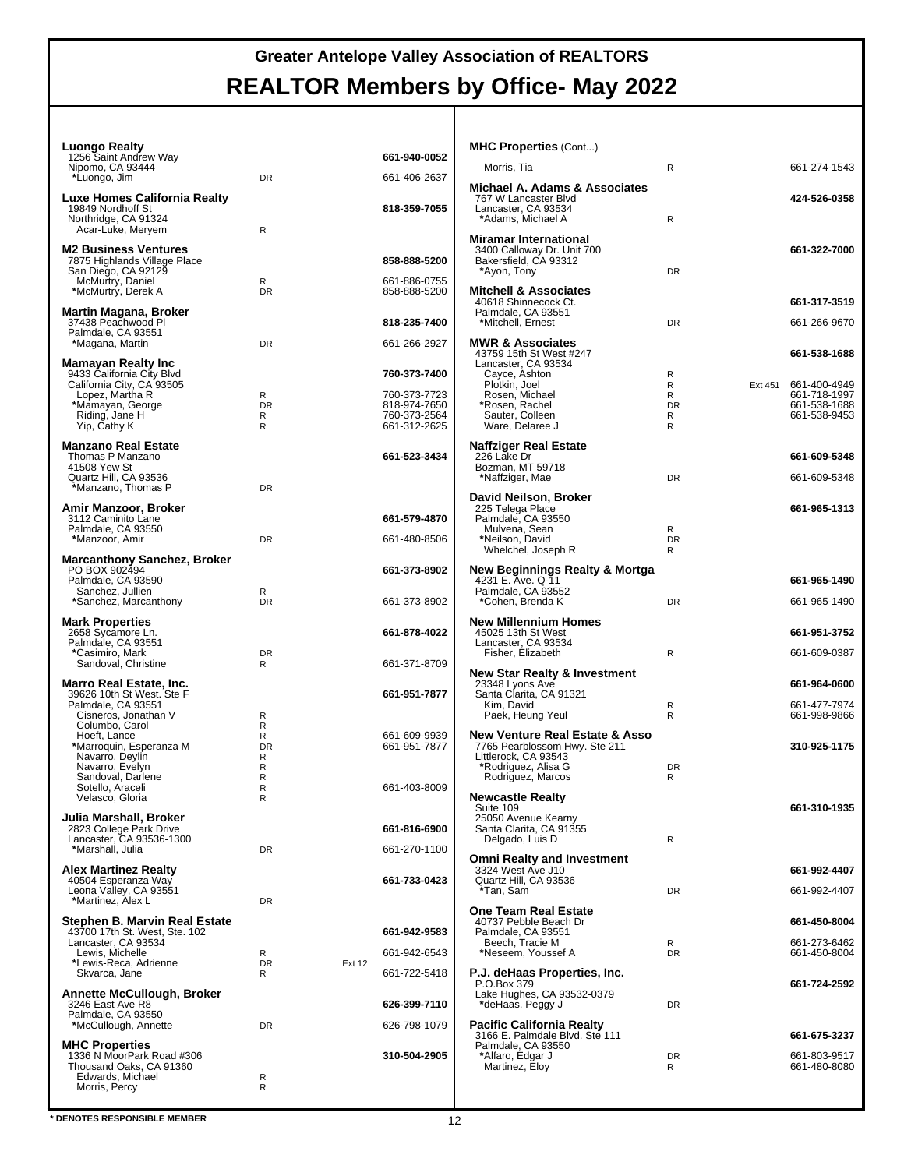| Luongo Realty                                        |                          |                              | <b>MHC Properties (Cont)</b>                                               |                   |                                      |
|------------------------------------------------------|--------------------------|------------------------------|----------------------------------------------------------------------------|-------------------|--------------------------------------|
| 1256 Saint Andrew Way<br>Nipomo, CA 93444            |                          | 661-940-0052                 | Morris. Tia                                                                | R                 | 661-274-1543                         |
| *Luongo, Jim                                         | <b>DR</b>                | 661-406-2637                 | Michael A. Adams & Associates                                              |                   |                                      |
| Luxe Homes California Realty                         |                          |                              | 767 W Lancaster Blvd                                                       |                   | 424-526-0358                         |
| 19849 Nordhoff St<br>Northridge, CA 91324            |                          | 818-359-7055                 | Lancaster, CA 93534<br>*Adams. Michael A                                   | R                 |                                      |
| Acar-Luke, Meryem                                    | R                        |                              | <b>Miramar International</b>                                               |                   |                                      |
| <b>M2 Business Ventures</b>                          |                          |                              | 3400 Calloway Dr. Unit 700                                                 |                   | 661-322-7000                         |
| 7875 Highlands Village Place<br>San Diego, CA 92129  |                          | 858-888-5200                 | Bakersfield, CA 93312<br>*Ayon, Tony                                       | <b>DR</b>         |                                      |
| McMurtry, Daniel<br>*McMurtry, Derek A               | R<br><b>DR</b>           | 661-886-0755<br>858-888-5200 | <b>Mitchell &amp; Associates</b>                                           |                   |                                      |
|                                                      |                          |                              | 40618 Shinnecock Ct.                                                       |                   | 661-317-3519                         |
| Martin Magana, Broker<br>37438 Peachwood Pl          |                          | 818-235-7400                 | Palmdale, CA 93551<br>*Mitchell, Ernest                                    | <b>DR</b>         | 661-266-9670                         |
| Palmdale, CA 93551<br>*Magana, Martin                | DR                       | 661-266-2927                 | <b>MWR &amp; Associates</b>                                                |                   |                                      |
| Mamayan Realty Inc                                   |                          |                              | 43759 15th St West #247<br>Lancaster, CA 93534                             |                   | 661-538-1688                         |
| 9433 California City Blvd                            |                          | 760-373-7400                 | Cayce, Ashton                                                              | R                 |                                      |
| California City, CA 93505<br>Lopez, Martha R         | R                        | 760-373-7723                 | Plotkin, Joel<br>Rosen, Michael                                            | R<br>R            | Ext 451 661-400-4949<br>661-718-1997 |
| *Mamayan, George<br>Riding, Jane H                   | <b>DR</b><br>R           | 818-974-7650<br>760-373-2564 | *Rosen, Rachel<br>Sauter, Colleen                                          | <b>DR</b><br>R    | 661-538-1688<br>661-538-9453         |
| Yip, Cathy K                                         | R                        | 661-312-2625                 | Ware. Delaree J                                                            | R                 |                                      |
| <b>Manzano Real Estate</b>                           |                          |                              | Naffziger Real Estate                                                      |                   |                                      |
| Thomas P Manzano<br>41508 Yew St                     |                          | 661-523-3434                 | 226 Lake Dr<br>Bozman, MT 59718                                            |                   | 661-609-5348                         |
| Quartz Hill, CA 93536                                |                          |                              | *Naffziger, Mae                                                            | <b>DR</b>         | 661-609-5348                         |
| *Manzano, Thomas P                                   | DR                       |                              | David Neilson, Broker                                                      |                   |                                      |
| Amir Manzoor, Broker<br>3112 Caminito Lane           |                          | 661-579-4870                 | 225 Telega Place<br>Palmdale, CA 93550                                     |                   | 661-965-1313                         |
| Palmdale, CA 93550                                   | DR                       | 661-480-8506                 | Mulvena, Sean<br>*Neilson, David                                           | R<br><b>DR</b>    |                                      |
| *Manzoor, Amir                                       |                          |                              | Whelchel, Joseph R                                                         | R                 |                                      |
| Marcanthony Sanchez, Broker<br>PO BOX 902494         |                          | 661-373-8902                 | New Beginnings Realty & Mortga                                             |                   |                                      |
| Palmdale, CA 93590<br>Sanchez, Jullien               | R                        |                              | 4231 E. Ave. Q-11<br>Palmdale, CA 93552                                    |                   | 661-965-1490                         |
| *Sanchez, Marcanthony                                | <b>DR</b>                | 661-373-8902                 | *Cohen, Brenda K                                                           | <b>DR</b>         | 661-965-1490                         |
| <b>Mark Properties</b>                               |                          |                              | <b>New Millennium Homes</b>                                                |                   |                                      |
| 2658 Sycamore Ln.<br>Palmdale, CA 93551              |                          | 661-878-4022                 | 45025 13th St West<br>Lancaster, CA 93534                                  |                   | 661-951-3752                         |
| *Casimiro, Mark                                      | DR                       |                              | Fisher, Elizabeth                                                          | R                 | 661-609-0387                         |
| Sandoval, Christine                                  | R                        | 661-371-8709                 | <b>New Star Realty &amp; Investment</b>                                    |                   |                                      |
| Marro Real Estate, Inc.<br>39626 10th St West. Ste F |                          | 661-951-7877                 | 23348 Lyons Ave<br>Santa Clarita, CA 91321                                 |                   | 661-964-0600                         |
| Palmdale, CA 93551                                   |                          |                              | Kim, David                                                                 | $\mathsf{R}$<br>R | 661-477-7974<br>661-998-9866         |
| Cisneros, Jonathan V<br>Columbo, Carol               | R<br>R                   |                              | Paek, Heung Yeul                                                           |                   |                                      |
| Hoeft, Lance<br>*Marroquin, Esperanza M              | R<br><b>DR</b>           | 661-609-9939<br>661-951-7877 | <b>New Venture Real Estate &amp; Asso</b><br>7765 Pearblossom Hwy. Ste 211 |                   | 310-925-1175                         |
| Navarro, Deylin<br>Navarro, Evelyn                   | R<br>R                   |                              | Littlerock, CA 93543<br>*Rodriguez, Alisa G                                | <b>DR</b>         |                                      |
| Sandoval, Darlene                                    | R                        |                              | Rodriguez, Marcos                                                          | R                 |                                      |
| Sotello, Araceli<br>Velasco, Gloria                  | R<br>R                   | 661-403-8009                 | <b>Newcastle Realty</b>                                                    |                   |                                      |
| Julia Marshall, Broker                               |                          |                              | Suite 109<br>25050 Avenue Kearny                                           |                   | 661-310-1935                         |
| 2823 College Park Drive                              |                          | 661-816-6900                 | Santa Clarita, CA 91355                                                    |                   |                                      |
| Lancaster, CA 93536-1300<br>*Marshall, Julia         | DR                       | 661-270-1100                 | Delgado, Luis D                                                            | R                 |                                      |
| <b>Alex Martinez Realty</b>                          |                          |                              | <b>Omni Realty and Investment</b><br>3324 West Ave J10                     |                   | 661-992-4407                         |
| 40504 Esperanza Way<br>Leona Valley, CA 93551        |                          | 661-733-0423                 | Quartz Hill, CA 93536<br>*Tan, Sam                                         | DR                | 661-992-4407                         |
| *Martinez, Alex L                                    | DR                       |                              |                                                                            |                   |                                      |
| Stephen B. Marvin Real Estate                        |                          |                              | <b>One Team Real Estate</b><br>40737 Pebble Beach Dr                       |                   | 661-450-8004                         |
| 43700 17th St. West, Ste. 102<br>Lancaster, CA 93534 |                          | 661-942-9583                 | Palmdale, CA 93551<br>Beech, Tracie M                                      | R                 | 661-273-6462                         |
| Lewis, Michelle                                      | R                        | 661-942-6543                 | *Neseem, Youssef A                                                         | <b>DR</b>         | 661-450-8004                         |
| *Lewis-Reca, Adrienne<br>Skvarca, Jane               | DR<br><b>Ext 12</b><br>R | 661-722-5418                 | P.J. deHaas Properties, Inc.                                               |                   |                                      |
| Annette McCullough, Broker                           |                          |                              | P.O.Box 379<br>Lake Hughes, CA 93532-0379                                  |                   | 661-724-2592                         |
| 3246 East Ave R8                                     |                          | 626-399-7110                 | *deHaas, Peggy J                                                           | DR                |                                      |
| Palmdale, CA 93550<br>*McCullough, Annette           | DR                       | 626-798-1079                 | <b>Pacific California Realty</b>                                           |                   |                                      |
| <b>MHC Properties</b>                                |                          |                              | 3166 E. Palmdale Blvd. Ste 111<br>Palmdale, CA 93550                       |                   | 661-675-3237                         |
| 1336 N MoorPark Road #306<br>Thousand Oaks, CA 91360 |                          | 310-504-2905                 | *Alfaro, Edgar J<br>Martinez, Eloy                                         | <b>DR</b><br>R    | 661-803-9517<br>661-480-8080         |
| Edwards, Michael                                     | R                        |                              |                                                                            |                   |                                      |
| Morris, Percy                                        | R                        |                              |                                                                            |                   |                                      |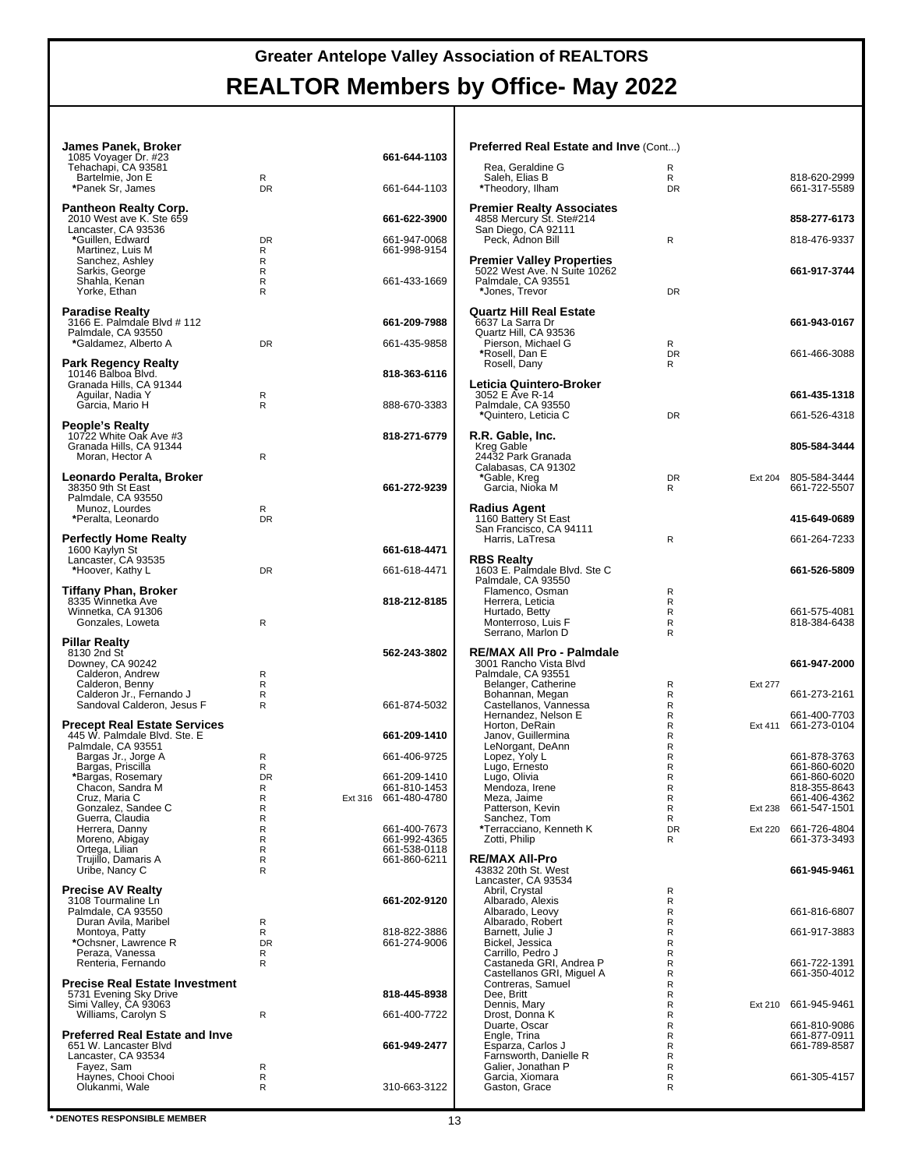| James Panek, Broker<br>1085 Voyager Dr. #23                    |                   |         | 661-644-1103                 | Preferred Real Estate and Inve (Cont)                      |                            |         |                              |
|----------------------------------------------------------------|-------------------|---------|------------------------------|------------------------------------------------------------|----------------------------|---------|------------------------------|
| Tehachapi, CA 93581<br>Bartelmie, Jon E                        | R                 |         |                              | Rea, Geraldine G<br>Saleh, Elias B                         | R<br>R                     |         | 818-620-2999                 |
| *Panek Sr, James                                               | <b>DR</b>         |         | 661-644-1103                 | *Theodory, Ilham                                           | <b>DR</b>                  |         | 661-317-5589                 |
| <b>Pantheon Realty Corp.</b>                                   |                   |         |                              | <b>Premier Realty Associates</b>                           |                            |         |                              |
| 2010 West ave K. Ste 659<br>Lancaster, CA 93536                |                   |         | 661-622-3900                 | 4858 Mercury St. Ste#214<br>San Diego, CA 92111            |                            |         | 858-277-6173                 |
| *Guillen, Edward                                               | <b>DR</b>         |         | 661-947-0068                 | Peck, Adnon Bill                                           | $\mathsf{R}$               |         | 818-476-9337                 |
| Martinez, Luis M                                               | R<br>R            |         | 661-998-9154                 | <b>Premier Valley Properties</b>                           |                            |         |                              |
| Sanchez, Ashley<br>Sarkis, George                              | R                 |         |                              | 5022 West Ave. N Suite 10262                               |                            |         | 661-917-3744                 |
| Shahla, Kenan<br>Yorke, Ethan                                  | R<br>R            |         | 661-433-1669                 | Palmdale, CA 93551<br>*Jones, Trevor                       | <b>DR</b>                  |         |                              |
|                                                                |                   |         |                              |                                                            |                            |         |                              |
| <b>Paradise Realty</b><br>3166 E. Palmdale Blvd # 112          |                   |         | 661-209-7988                 | <b>Quartz Hill Real Estate</b><br>6637 La Sarra Dr         |                            |         | 661-943-0167                 |
| Palmdale, CA 93550                                             |                   |         |                              | Quartz Hill, CA 93536                                      |                            |         |                              |
| *Galdamez, Alberto A                                           | <b>DR</b>         |         | 661-435-9858                 | Pierson, Michael G<br>*Rosell, Dan E                       | R<br><b>DR</b>             |         | 661-466-3088                 |
| Park Regency Realty                                            |                   |         |                              | Rosell, Dany                                               | R                          |         |                              |
| 10146 Balboa Blvd.<br>Granada Hills, CA 91344                  |                   |         | 818-363-6116                 | Leticia Quintero-Broker                                    |                            |         |                              |
| Aguilar, Nadia Y                                               | R                 |         |                              | 3052 E Ave R-14                                            |                            |         | 661-435-1318                 |
| Garcia, Mario H                                                | $\mathsf{R}$      |         | 888-670-3383                 | Palmdale, CA 93550<br>*Quintero, Leticia C                 | <b>DR</b>                  |         | 661-526-4318                 |
| People's Realty                                                |                   |         |                              |                                                            |                            |         |                              |
| 10722 White Oak Ave #3<br>Granada Hills, CA 91344              |                   |         | 818-271-6779                 | R.R. Gable, Inc.<br>Kreg Gable                             |                            |         | 805-584-3444                 |
| Moran, Hector A                                                | $\mathsf{R}$      |         |                              | 24432 Park Granada                                         |                            |         |                              |
| Leonardo Peralta, Broker                                       |                   |         |                              | Calabasas, CA 91302<br>*Gable, Kreg                        | DR                         |         | Ext 204 805-584-3444         |
| 38350 9th St East                                              |                   |         | 661-272-9239                 | Garcia, Nioka M                                            | R                          |         | 661-722-5507                 |
| Palmdale, CA 93550<br>Munoz, Lourdes                           | R                 |         |                              | <b>Radius Agent</b>                                        |                            |         |                              |
| *Peralta, Leonardo                                             | <b>DR</b>         |         |                              | 1160 Battery St East                                       |                            |         | 415-649-0689                 |
| <b>Perfectly Home Realty</b>                                   |                   |         |                              | San Francisco, CA 94111<br>Harris, LaTresa                 | R                          |         | 661-264-7233                 |
| 1600 Kaylyn St                                                 |                   |         | 661-618-4471                 |                                                            |                            |         |                              |
| Lancaster, CA 93535<br>*Hoover, Kathy L                        | DR                |         | 661-618-4471                 | <b>RBS Realty</b><br>1603 E. Palmdale Blvd. Ste C          |                            |         | 661-526-5809                 |
|                                                                |                   |         |                              | Palmdale, CA 93550                                         |                            |         |                              |
| Tiffany Phan, Broker<br>8335 Winnetka Ave                      |                   |         | 818-212-8185                 | Flamenco, Osman<br>Herrera, Leticia                        | $\mathsf{R}$<br>R          |         |                              |
| Winnetka, CA 91306                                             |                   |         |                              | Hurtado, Betty                                             | R                          |         | 661-575-4081                 |
| Gonzales, Loweta                                               | $\mathsf{R}$      |         |                              | Monterroso, Luis F<br>Serrano, Marlon D                    | R<br>R                     |         | 818-384-6438                 |
| Pillar Realty                                                  |                   |         |                              |                                                            |                            |         |                              |
| 8130 2nd St<br>Downey, CA 90242                                |                   |         | 562-243-3802                 | <b>RE/MAX All Pro - Palmdale</b><br>3001 Rancho Vista Blvd |                            |         | 661-947-2000                 |
| Calderon, Andrew                                               | R                 |         |                              | Palmdale, CA 93551                                         |                            |         |                              |
| Calderon, Benny<br>Calderon Jr., Fernando J                    | $\mathsf{R}$<br>R |         |                              | Belanger, Catherine<br>Bohannan, Megan                     | R<br>R                     | Ext 277 | 661-273-2161                 |
| Sandoval Calderon, Jesus F                                     | R                 |         | 661-874-5032                 | Castellanos, Vannessa<br>Hernandez, Nelson E               | R<br>R                     |         | 661-400-7703                 |
| <b>Precept Real Estate Services</b>                            |                   |         |                              | Horton, DeRain                                             | R                          | Ext 411 | 661-273-0104                 |
| 445 W. Palmdale Blvd. Ste. E<br>Palmdale, CA 93551             |                   |         | 661-209-1410                 | Janov, Guillermina<br>LeNorgant, DeAnn                     | R<br>$\mathsf R$           |         |                              |
| Bargas Jr., Jorge A                                            | R                 |         | 661-406-9725                 | Lopez, Yoly L                                              | R                          |         | 661-878-3763                 |
| Bargas, Priscilla<br>*Bargas, Rosemary                         | R<br><b>DR</b>    |         | 661-209-1410                 | Lugo, Ernesto<br>Lugo, Olivia                              | $\mathsf R$<br>$\mathsf R$ |         | 661-860-6020<br>661-860-6020 |
| Chacon, Sandra M                                               | R                 |         | 661-810-1453                 | Mendoza, Irene                                             | R                          |         | 818-355-8643                 |
| Cruz, Maria C<br>Gonzalez, Sandee C                            | ${\sf R}$<br>R    | Ext 316 | 661-480-4780                 | Meza, Jaime<br>Patterson, Kevin                            | R<br>R                     | Ext 238 | 661-406-4362<br>661-547-1501 |
| Guerra, Claudia                                                | R                 |         |                              | Sanchez, Tom                                               | R                          |         |                              |
| Herrera, Danny<br>Moreno, Abigay                               | R<br>R            |         | 661-400-7673<br>661-992-4365 | *Terracciano, Kenneth K<br>Zotti, Philip                   | <b>DR</b><br>R             | Ext 220 | 661-726-4804<br>661-373-3493 |
| Ortega, Lilian                                                 | R                 |         | 661-538-0118                 |                                                            |                            |         |                              |
| Trujillo, Damaris A<br>Uribe, Nancy C                          | R<br>R            |         | 661-860-6211                 | <b>RE/MAX All-Pro</b><br>43832 20th St. West               |                            |         | 661-945-9461                 |
| <b>Precise AV Realty</b>                                       |                   |         |                              | Lancaster, CA 93534                                        |                            |         |                              |
| 3108 Tourmaline Ln                                             |                   |         | 661-202-9120                 | Abril, Crystal<br>Albarado, Alexis                         | R<br>R                     |         |                              |
| Palmdale, CA 93550<br>Duran Avila, Maribel                     | R                 |         |                              | Albarado, Leovy<br>Albarado, Robert                        | R<br>R                     |         | 661-816-6807                 |
| Montoya, Patty                                                 | $\mathsf{R}$      |         | 818-822-3886                 | Barnett, Julie J                                           | $\mathsf R$                |         | 661-917-3883                 |
| *Ochsner, Lawrence R<br>Peraza, Vanessa                        | <b>DR</b><br>R    |         | 661-274-9006                 | Bickel, Jessica<br>Carrillo, Pedro J                       | R<br>R                     |         |                              |
| Renteria, Fernando                                             | R                 |         |                              | Castaneda GRI, Andrea P                                    | $\mathsf R$                |         | 661-722-1391                 |
| <b>Precise Real Estate Investment</b>                          |                   |         |                              | Castellanos GRI, Miguel A<br>Contreras, Samuel             | R<br>R                     |         | 661-350-4012                 |
| 5731 Evening Sky Drive                                         |                   |         | 818-445-8938                 | Dee, Britt                                                 | $\mathsf R$                |         |                              |
| Simi Valley, CA 93063<br>Williams, Carolyn S                   | R                 |         | 661-400-7722                 | Dennis, Mary<br>Drost, Donna K                             | R<br>R                     | Ext 210 | 661-945-9461                 |
|                                                                |                   |         |                              | Duarte, Oscar                                              | R                          |         | 661-810-9086                 |
| <b>Preferred Real Estate and Inve</b><br>651 W. Lancaster Blvd |                   |         | 661-949-2477                 | Engle, Trina<br>Esparza, Carlos J                          | R<br>R                     |         | 661-877-0911<br>661-789-8587 |
| Lancaster, CA 93534                                            |                   |         |                              | Farnsworth, Danielle R                                     | $\mathsf R$                |         |                              |
| Fayez, Sam<br>Haynes, Chooi Chooi                              | R<br>R            |         |                              | Galier, Jonathan P<br>Garcia, Xiomara                      | R<br>R                     |         | 661-305-4157                 |
| Olukanmi, Wale                                                 | R                 |         | 310-663-3122                 | Gaston, Grace                                              | R                          |         |                              |

**EXECUTES RESPONSIBLE MEMBER** 13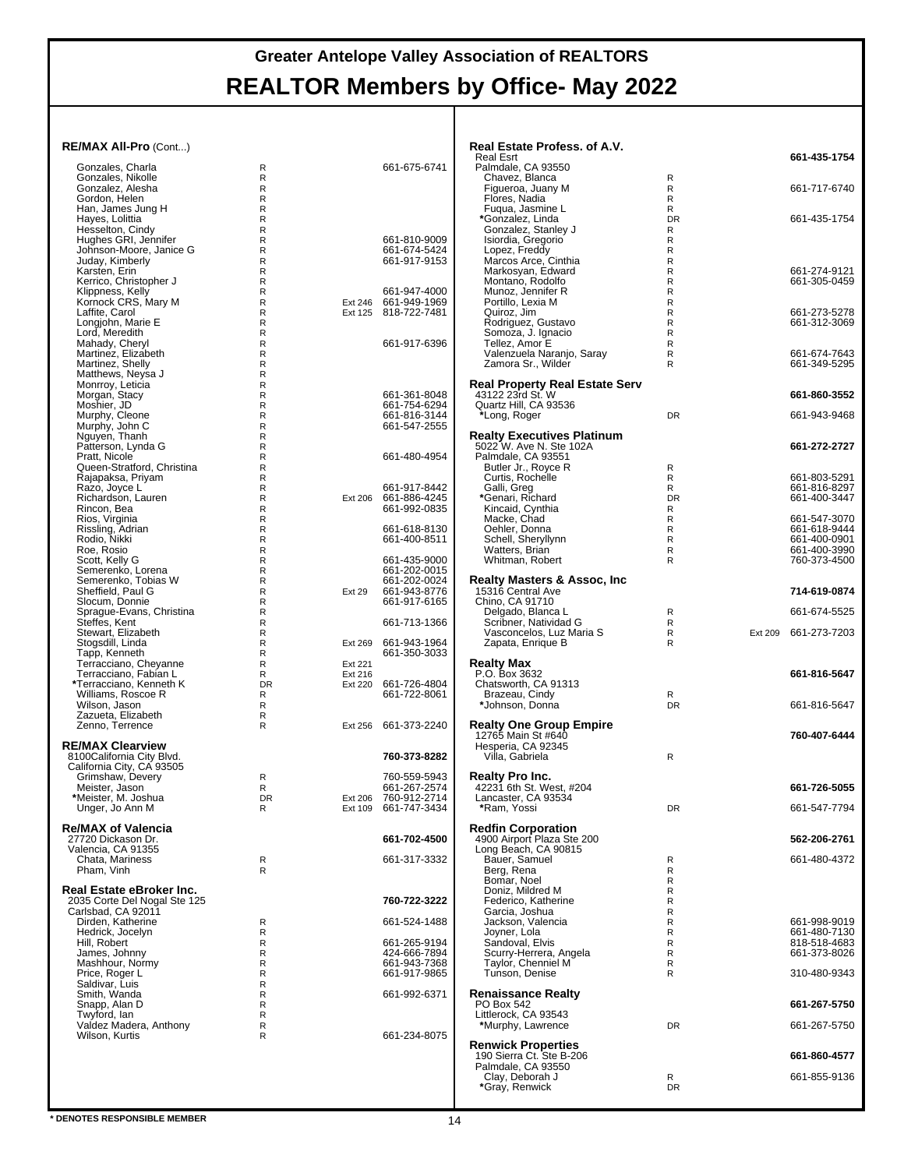| RE/MAX All-Pro (Cont)                                  |                  |                    |                                              | Real Estate Profess. of A.V.<br><b>Real Esrt</b>             |                              |                | 661-435-1754                 |
|--------------------------------------------------------|------------------|--------------------|----------------------------------------------|--------------------------------------------------------------|------------------------------|----------------|------------------------------|
| Gonzales, Charla                                       | R                |                    | 661-675-6741                                 | Palmdale, CA 93550                                           |                              |                |                              |
| Gonzales, Nikolle<br>Gonzalez, Alesha                  | R<br>R           |                    |                                              | Chavez, Blanca<br>Figueroa, Juany M                          | R<br>R                       |                | 661-717-6740                 |
| Gordon, Helen<br>Han, James Jung H                     | R<br>R           |                    |                                              | Flores, Nadia<br>Fuqua, Jasmine L                            | $\mathsf{R}$<br>R            |                |                              |
| Hayes, Lolittia<br>Hesselton, Cindy                    | R<br>R           |                    |                                              | *Gonzalez, Linda<br>Gonzalez, Stanley J                      | <b>DR</b><br>R               |                | 661-435-1754                 |
| Hughes GRI, Jennifer                                   | R                |                    | 661-810-9009                                 | Isiordia, Gregorio                                           | R                            |                |                              |
| Johnson-Moore, Janice G<br>Juday, Kimberly             | R<br>$\mathsf R$ |                    | 661-674-5424<br>661-917-9153                 | Lopez, Freddy<br>Marcos Arce, Cinthia                        | R<br>$\mathsf{R}$            |                |                              |
| Karsten, Erin<br>Kerrico, Christopher J                | R<br>R           |                    |                                              | Markosyan, Edward<br>Montano, Rodolfo                        | $\mathsf{R}$<br>$\mathsf{R}$ |                | 661-274-9121<br>661-305-0459 |
| Klippness, Kelly                                       | R                |                    | 661-947-4000                                 | Munoz, Jennifer R                                            | $\mathsf{R}$                 |                |                              |
| Kornock CRS, Mary M<br>Laffite, Carol                  | R<br>R           |                    | Ext 246 661-949-1969<br>Ext 125 818-722-7481 | Portillo, Lexia M<br>Quiroz, Jim                             | R<br>R                       |                | 661-273-5278                 |
| Longjohn, Marie E<br>Lord, Meredith                    | R<br>R           |                    |                                              | Rodriguez, Gustavo<br>Somoza, J. Ignacio                     | $\mathsf{R}$<br>R            |                | 661-312-3069                 |
| Mahady, Cheryl                                         | R                |                    | 661-917-6396                                 | Tellez. Amor E                                               | R                            |                |                              |
| Martinez, Elizabeth<br>Martinez, Shelly                | $\mathsf R$<br>R |                    |                                              | Valenzuela Naranjo, Saray<br>Zamora Sr., Wilder              | $\mathsf{R}$<br>R            |                | 661-674-7643<br>661-349-5295 |
| Matthews, Neysa J<br>Monrroy, Leticia                  | R<br>R           |                    |                                              | <b>Real Property Real Estate Serv</b>                        |                              |                |                              |
| Morgan, Stacy                                          | R                |                    | 661-361-8048                                 | 43122 23rd St. W                                             |                              |                | 661-860-3552                 |
| Moshier, JD<br>Murphy, Cleone                          | R<br>$\mathsf R$ |                    | 661-754-6294<br>661-816-3144                 | Quartz Hill, CA 93536<br>*Long, Roger                        | DR                           |                | 661-943-9468                 |
| Murphy, John C<br>Nguyen, Thanh                        | R<br>R           |                    | 661-547-2555                                 | <b>Realty Executives Platinum</b>                            |                              |                |                              |
| Patterson, Lynda G                                     | R                |                    | 661-480-4954                                 | 5022 W. Ave N. Ste 102A<br>Palmdale, CA 93551                |                              |                | 661-272-2727                 |
| Pratt, Nicole<br>Queen-Stratford, Christina            | R<br>R           |                    |                                              | Butler Jr., Royce R                                          | R                            |                |                              |
| Rajapaksa, Priyam<br>Razo, Joyce L                     | R<br>R           |                    | 661-917-8442                                 | Curtis, Rochelle<br>Galli, Greg                              | R<br>R                       |                | 661-803-5291<br>661-816-8297 |
| Richardson, Lauren<br>Rincon, Bea                      | R<br>R           | Ext 206            | 661-886-4245<br>661-992-0835                 | *Genari, Richard<br>Kincaid, Cynthia                         | <b>DR</b><br>R               |                | 661-400-3447                 |
| Rios, Virginia                                         | R                |                    |                                              | Macke, Chad                                                  | R                            |                | 661-547-3070                 |
| Rissling, Adrian<br>Rodio, Nikki                       | R<br>$\mathsf R$ |                    | 661-618-8130<br>661-400-8511                 | Oehler, Donna<br>Schell, Sheryllynn                          | R<br>R                       |                | 661-618-9444<br>661-400-0901 |
| Roe, Rosio<br>Scott, Kelly G                           | R<br>R           |                    | 661-435-9000                                 | Watters, Brian<br>Whitman, Robert                            | R<br>R                       |                | 661-400-3990<br>760-373-4500 |
| Semerenko, Lorena                                      | R                |                    | 661-202-0015                                 |                                                              |                              |                |                              |
| Semerenko, Tobias W<br>Sheffield, Paul G               | R<br>R           | <b>Ext 29</b>      | 661-202-0024<br>661-943-8776                 | <b>Realty Masters &amp; Assoc, Inc.</b><br>15316 Central Ave |                              |                | 714-619-0874                 |
| Slocum, Donnie<br>Sprague-Evans, Christina             | R<br>R           |                    | 661-917-6165                                 | Chino, CA 91710<br>Delgado, Blanca L                         | R                            |                | 661-674-5525                 |
| Steffes, Kent                                          | R                |                    | 661-713-1366                                 | Scribner, Natividad G                                        | R                            |                |                              |
| Stewart, Elizabeth<br>Stogsdill, Linda                 | R<br>R           |                    | Ext 269 661-943-1964                         | Vasconcelos, Luz Maria S<br>Zapata, Enrique B                | R<br>R                       | <b>Ext 209</b> | 661-273-7203                 |
| Tapp, Kenneth<br>Terracciano, Cheyanne                 | R<br>R           | Ext 221            | 661-350-3033                                 | <b>Realty Max</b>                                            |                              |                |                              |
| Terracciano, Fabian L<br>*Terracciano, Kenneth K       | R<br><b>DR</b>   | Ext 216<br>Ext 220 | 661-726-4804                                 | P.O. Box 3632<br>Chatsworth, CA 91313                        |                              |                | 661-816-5647                 |
| Williams, Roscoe R                                     | R                |                    | 661-722-8061                                 | Brazeau, Cindy                                               | R                            |                |                              |
| Wilson, Jason<br>Zazueta, Elizabeth                    | R<br>R           |                    |                                              | *Johnson, Donna                                              | <b>DR</b>                    |                | 661-816-5647                 |
| Zenno, Terrence                                        | R                |                    | Ext 256 661-373-2240                         | <b>Realty One Group Empire</b><br>12765 Main St #640         |                              |                | 760-407-6444                 |
| <b>RE/MAX Clearview</b>                                |                  |                    |                                              | Hesperia, CA 92345                                           |                              |                |                              |
| 8100California City Blvd.<br>California City, CA 93505 |                  |                    | 760-373-8282                                 | Villa, Gabriela                                              | $\mathsf{R}$                 |                |                              |
| Grimshaw, Devery<br>Meister, Jason                     | R<br>R           |                    | 760-559-5943<br>661-267-2574                 | Realty Pro Inc.<br>42231 6th St. West, #204                  |                              |                | 661-726-5055                 |
| *Meister, M. Joshua<br>Unger, Jo Ann M                 | DR<br>R          |                    | Ext 206 760-912-2714<br>Ext 109 661-747-3434 | Lancaster, CA 93534<br>*Ram, Yossi                           | DR                           |                | 661-547-7794                 |
|                                                        |                  |                    |                                              |                                                              |                              |                |                              |
| <b>Re/MAX of Valencia</b><br>27720 Dickason Dr.        |                  |                    | 661-702-4500                                 | <b>Redfin Corporation</b><br>4900 Airport Plaza Ste 200      |                              |                | 562-206-2761                 |
| Valencia, CA 91355<br>Chata, Mariness                  | R                |                    | 661-317-3332                                 | Long Beach, CA 90815<br>Bauer, Samuel                        | R                            |                | 661-480-4372                 |
| Pham, Vinh                                             | R                |                    |                                              | Berg, Rena<br>Bomar, Noel                                    | R                            |                |                              |
| Real Estate eBroker Inc.                               |                  |                    |                                              | Doniz, Mildred M                                             | R<br>R                       |                |                              |
| 2035 Corte Del Nogal Ste 125<br>Carlsbad, CA 92011     |                  |                    | 760-722-3222                                 | Federico, Katherine<br>Garcia, Joshua                        | R<br>R                       |                |                              |
| Dirden, Katherine<br>Hedrick, Jocelyn                  | R<br>R           |                    | 661-524-1488                                 | Jackson, Valencia<br>Jovner, Lola                            | R<br>R                       |                | 661-998-9019<br>661-480-7130 |
| Hill, Robert                                           | R                |                    | 661-265-9194                                 | Sandoval, Elvis                                              | R                            |                | 818-518-4683                 |
| James, Johnny<br>Mashhour, Normy                       | R<br>R           |                    | 424-666-7894<br>661-943-7368                 | Scurry-Herrera, Angela<br>Taylor, Chenniel M                 | R<br>R                       |                | 661-373-8026                 |
| Price, Roger L<br>Saldivar, Luis                       | R<br>R           |                    | 661-917-9865                                 | Tunson, Denise                                               | R                            |                | 310-480-9343                 |
| Smith, Wanda                                           | R                |                    | 661-992-6371                                 | <b>Renaissance Realty</b>                                    |                              |                |                              |
| Snapp, Alan D<br>Twyford, lan                          | R<br>R           |                    |                                              | PO Box 542<br>Littlerock, CA 93543                           |                              |                | 661-267-5750                 |
| Valdez Madera, Anthony<br>Wilson, Kurtis               | R<br>R           |                    | 661-234-8075                                 | *Murphy, Lawrence                                            | DR                           |                | 661-267-5750                 |
|                                                        |                  |                    |                                              | <b>Renwick Properties</b><br>190 Sierra Ct. Ste B-206        |                              |                | 661-860-4577                 |
|                                                        |                  |                    |                                              | Palmdale, CA 93550                                           |                              |                |                              |
|                                                        |                  |                    |                                              | Clay, Deborah J<br>*Gray, Renwick                            | R<br>DR                      |                | 661-855-9136                 |
|                                                        |                  |                    |                                              |                                                              |                              |                |                              |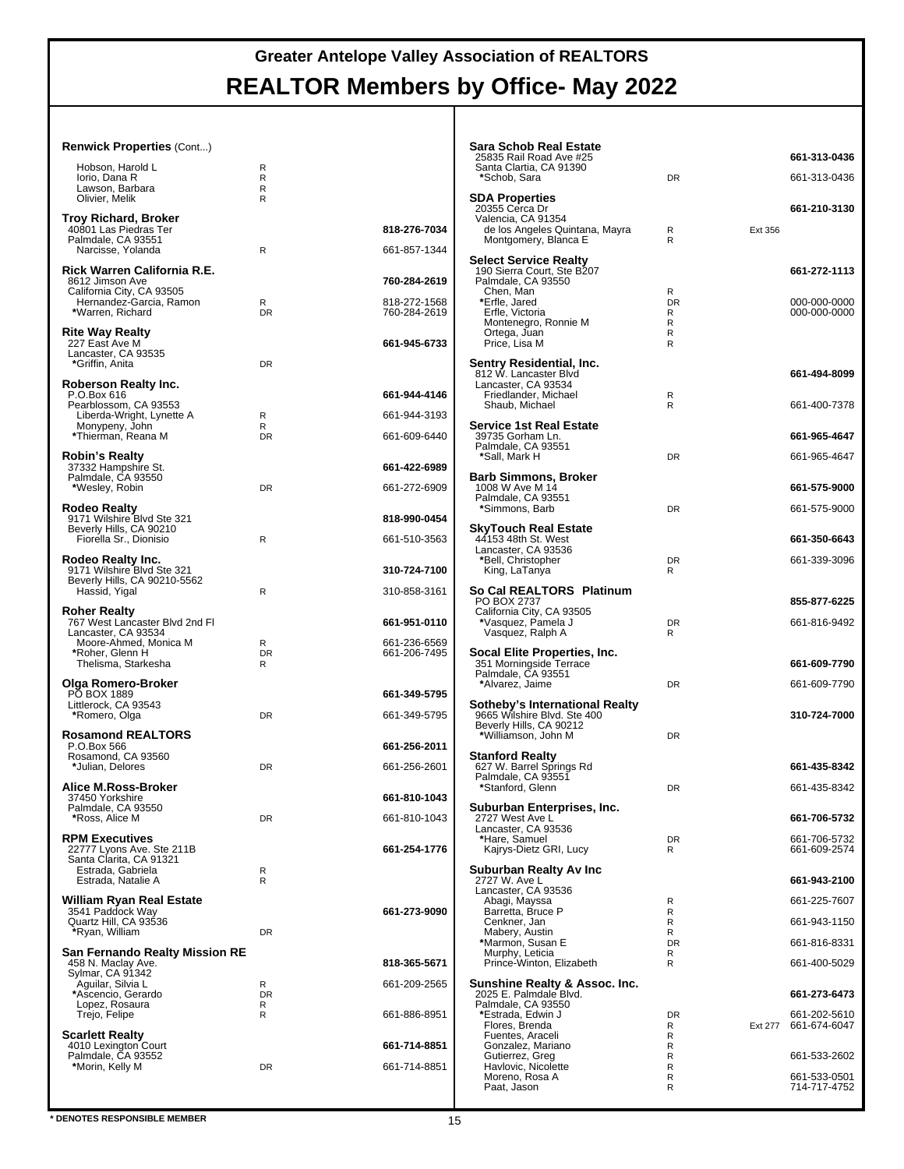#### **Renwick Properties** (Cont...)

| Hobson, Harold L<br>Iorio, Dana R<br>Lawson, Barbara<br>Olivier, Melik                                                                          | R<br>R<br>R<br>R    |                                              |
|-------------------------------------------------------------------------------------------------------------------------------------------------|---------------------|----------------------------------------------|
| Troy Richard, Broker<br>40801 Las Piedras Ter<br>Palmdale, CA 93551<br>Narcisse, Yolanda                                                        | R                   | 818-276-7034<br>661-857-1344                 |
| Rick Warren California R.E.<br>8612 Jimson Ave<br>California City, CA 93505<br>Hernandez-Garcia, Ramon<br>*Warren, Richard                      | R<br><b>DR</b>      | 760-284-2619<br>818-272-1568<br>760-284-2619 |
| <b>Rite Way Realty</b><br>227 East Ave M<br>Lancaster, CA 93535<br>*Griffin, Anita                                                              | <b>DR</b>           | 661-945-6733                                 |
| Roberson Realty Inc.<br>P.O.Box 616<br>Pearblossom, CA 93553<br>Liberda-Wright, Lynette A<br>Monypeny, John<br>*Thierman, Reana M               | R<br>R<br><b>DR</b> | 661-944-4146<br>661-944-3193<br>661-609-6440 |
| <b>Robin's Realty</b><br>37332 Hampshire St.<br>Palmdale, CA 93550<br>*Wesley, Robin                                                            | <b>DR</b>           | 661-422-6989<br>661-272-6909                 |
| <b>Rodeo Realty</b><br>9171 Wilshire Blvd Ste 321<br>Beverly Hills, CA 90210<br>Fiorella Sr., Dionisio                                          | R                   | 818-990-0454<br>661-510-3563                 |
| Rodeo Realty Inc.<br>9171 Wilshire Blvd Ste 321<br>Beverly Hills, CA 90210-5562<br>Hassid, Yigal                                                | R                   | 310-724-7100<br>310-858-3161                 |
| <b>Roher Realty</b><br>767 West Lancaster Blvd 2nd Fl<br>Lancaster, CA 93534<br>Moore-Ahmed, Monica M<br>*Roher, Glenn H<br>Thelisma, Starkesha | R<br><b>DR</b><br>R | 661-951-0110<br>661-236-6569<br>661-206-7495 |
| Olga Romero-Broker<br><b>PO BOX 1889</b><br>Littlerock, CA 93543<br>*Romero, Olga                                                               | <b>DR</b>           | 661-349-5795<br>661-349-5795                 |
| <b>Rosamond REALTORS®</b><br>P.O.Box 566<br>Rosamond, CA 93560<br>*Julian, Delores                                                              | DR                  | 661-256-2011<br>661-256-2601                 |
| Alice M.Ross-Broker<br>37450 Yorkshire<br>Palmdale, CA 93550<br>*Ross, Alice M                                                                  | DR                  | 661-810-1043<br>661-810-1043                 |
| <b>RPM Executives</b><br>22777 Lyons Ave. Ste 211B<br>Santa Clarita, CA 91321<br>Estrada, Gabriela<br>Estrada, Natalie A                        | R<br>R              | 661-254-1776                                 |
| William Ryan Real Estate<br>3541 Paddock Way<br>Quartz Hill, CA 93536<br>*Ryan, William                                                         | <b>DR</b>           | 661-273-9090                                 |
| San Fernando Realty Mission RE<br>458 N. Maclay Ave.<br>Sylmar, CA 91342<br>Aguilar, Silvia L<br>*Ascencio, Gerardo<br>Lopez, Rosaura           | R<br><b>DR</b><br>R | 818-365-5671<br>661-209-2565                 |
| Trejo, Felipe<br><b>Scarlett Realty</b><br>4010 Lexington Court<br>Palmdale, CA 93552<br>*Morin, Kelly M                                        | R<br>DR             | 661-886-8951<br>661-714-8851<br>661-714-8851 |
|                                                                                                                                                 |                     |                                              |

| Sara Schob Real Estate<br>25835 Rail Road Ave #25<br>Santa Clartia, CA 91390<br>*Schob, Sara                    | <b>DR</b>                     |         | 661-313-0436<br>661-313-0436 |
|-----------------------------------------------------------------------------------------------------------------|-------------------------------|---------|------------------------------|
| <b>SDA Properties</b>                                                                                           |                               |         |                              |
| 20355 Cerca Dr<br>Valencia, CA 91354<br>de los Angeles Quintana, Mayra<br>Montgomery, Blanca E                  | R<br>R                        | Ext 356 | 661-210-3130                 |
| <b>Select Service Realty</b><br>190 Sierra Court, Ste B207<br>Palmdale, CA 93550<br>Chen, Man                   | R                             |         | 661-272-1113                 |
| *Erfle, Jared<br>Erfle, Victoria<br>Montenegro, Ronnie M<br>Ortega, Juan<br>Price, Lisa M                       | <b>DR</b><br>R<br>R<br>R<br>R |         | 000-000-0000<br>000-000-0000 |
| Sentry Residential, Inc.<br>812 W. Lancaster Blvd<br>Lancaster, CA 93534<br>Friedlander, Michael                | R                             |         | 661-494-8099                 |
| Shaub, Michael<br><b>Service 1st Real Estate</b>                                                                | R                             |         | 661-400-7378                 |
| 39735 Gorham Ln.<br>Palmdale, CA 93551<br>*Sall, Mark H                                                         | <b>DR</b>                     |         | 661-965-4647                 |
| Barb Simmons, Broker                                                                                            |                               |         | 661-965-4647                 |
| 1008 W Ave M 14<br>Palmdale, CA 93551<br>*Simmons, Barb                                                         | DR                            |         | 661-575-9000<br>661-575-9000 |
| <b>SkyTouch Real Estate</b>                                                                                     |                               |         |                              |
| 44153 48th St. West<br>Lancaster, CA 93536<br>*Bell, Christopher                                                | <b>DR</b>                     |         | 661-350-6643<br>661-339-3096 |
| King, LaTanya                                                                                                   | R                             |         |                              |
| So Cal REALTORS® Platinum<br>PO BOX 2737                                                                        |                               |         | 855-877-6225                 |
| California City, CA 93505<br>*Vasquez, Pamela J<br>Vasquez, Ralph A                                             | <b>DR</b><br>R                |         | 661-816-9492                 |
| Socal Elite Properties, Inc.<br>351 Morningside Terrace                                                         |                               |         | 661-609-7790                 |
| Palmdale, CA 93551<br>*Alvarez, Jaime                                                                           | <b>DR</b>                     |         | 661-609-7790                 |
| Sotheby's International Realty<br>9665 Wilshire Blvd. Ste 400<br>Beverly Hills, CA 90212<br>*Williamson, John M | <b>DR</b>                     |         | 310-724-7000                 |
| <b>Stanford Realty</b><br>627 W. Barrel Springs Rd                                                              |                               |         | 661-435-8342                 |
| Palmdale, CA 93551<br>*Stanford, Glenn                                                                          | DR                            |         | 661-435-8342                 |
| Suburban Enterprises, Inc.<br>2727 West Ave L                                                                   |                               |         | 661-706-5732                 |
| Lancaster, CA 93536<br>*Hare, Samuel                                                                            | <b>DR</b>                     |         | 661-706-5732                 |
| Kajrys-Dietz GRI, Lucy<br>Suburban Realty Av Inc                                                                | R                             |         | 661-609-2574                 |
| 2727 W. Ave L<br>Lancaster, CA 93536                                                                            |                               |         | 661-943-2100                 |
| Abagi, Mayssa<br>Barretta, Bruce P                                                                              | R<br>R                        |         | 661-225-7607                 |
| Cenkner, Jan<br>Mabery, Austin                                                                                  | R<br>R                        |         | 661-943-1150                 |
| *Marmon, Susan E<br>Murphy, Leticia                                                                             | <b>DR</b><br>R                |         | 661-816-8331                 |
| Prince-Winton, Elizabeth<br>Sunshine Realty & Assoc. Inc.                                                       | R                             |         | 661-400-5029                 |
| 2025 E. Palmdale Blvd.<br>Palmdale, CA 93550                                                                    |                               |         | 661-273-6473                 |
| *Estrada, Edwin J<br>Flores, Brenda                                                                             | <b>DR</b><br>R                | Ext 277 | 661-202-5610<br>661-674-6047 |
| Fuentes, Araceli<br>Gonzalez, Mariano                                                                           | R<br>R                        |         |                              |
| Gutierrez, Greg<br>Havlovic, Nicolette                                                                          | R<br>R                        |         | 661-533-2602                 |
| Moreno, Rosa A<br>Paat, Jason                                                                                   | R<br>R                        |         | 661-533-0501<br>714-717-4752 |